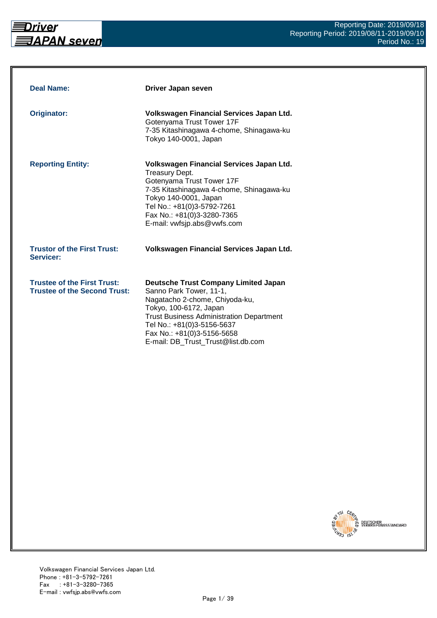

| <b>Deal Name:</b>                                                         | Driver Japan seven                                                                                                                                                                                                                                                                      |
|---------------------------------------------------------------------------|-----------------------------------------------------------------------------------------------------------------------------------------------------------------------------------------------------------------------------------------------------------------------------------------|
| <b>Originator:</b>                                                        | Volkswagen Financial Services Japan Ltd.<br>Gotenyama Trust Tower 17F<br>7-35 Kitashinagawa 4-chome, Shinagawa-ku<br>Tokyo 140-0001, Japan                                                                                                                                              |
| <b>Reporting Entity:</b>                                                  | Volkswagen Financial Services Japan Ltd.<br>Treasury Dept.<br>Gotenyama Trust Tower 17F<br>7-35 Kitashinagawa 4-chome, Shinagawa-ku<br>Tokyo 140-0001, Japan<br>Tel No.: +81(0)3-5792-7261<br>Fax No.: +81(0)3-3280-7365<br>E-mail: vwfsjp.abs@vwfs.com                                 |
| <b>Trustor of the First Trust:</b><br>Servicer:                           | Volkswagen Financial Services Japan Ltd.                                                                                                                                                                                                                                                |
| <b>Trustee of the First Trust:</b><br><b>Trustee of the Second Trust:</b> | <b>Deutsche Trust Company Limited Japan</b><br>Sanno Park Tower, 11-1,<br>Nagatacho 2-chome, Chiyoda-ku,<br>Tokyo, 100-6172, Japan<br><b>Trust Business Administration Department</b><br>Tel No.: +81(0)3-5156-5637<br>Fax No.: +81(0)3-5156-5658<br>E-mail: DB_Trust_Trust@list.db.com |

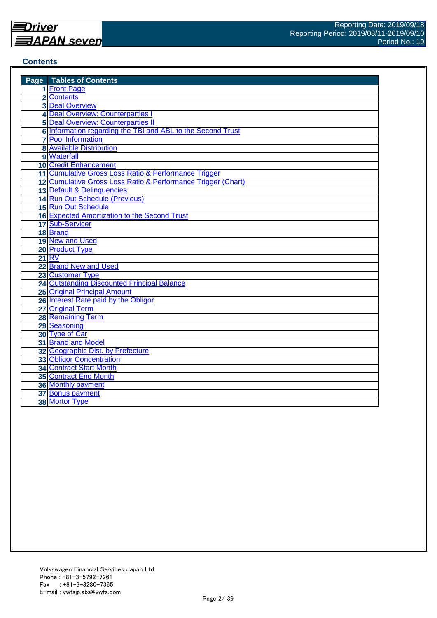#### **Contents**

| <b>Page</b> Tables of Contents                               |
|--------------------------------------------------------------|
| 1 Front Page                                                 |
| 2 Contents                                                   |
| <b>3 Deal Overview</b>                                       |
| 4 Deal Overview: Counterparties I                            |
| <b>5 Deal Overview: Counterparties II</b>                    |
| 6 Information regarding the TBI and ABL to the Second Trust  |
| <b>7</b> Pool Information                                    |
| <b>8 Available Distribution</b>                              |
| 9 Waterfall                                                  |
| <b>10 Credit Enhancement</b>                                 |
| 11 Cumulative Gross Loss Ratio & Performance Trigger         |
| 12 Cumulative Gross Loss Ratio & Performance Trigger (Chart) |
| 13 Default & Delinquencies                                   |
| 14 Run Out Schedule (Previous)                               |
| 15 Run Out Schedule                                          |
| 16 Expected Amortization to the Second Trust                 |
| 17 Sub-Servicer                                              |
| 18 Brand                                                     |
| 19 New and Used                                              |
| 20 Product Type                                              |
| 21 RV                                                        |
| 22 Brand New and Used                                        |
| 23 Customer Type                                             |
| <b>24 Outstanding Discounted Principal Balance</b>           |
| <b>25 Original Principal Amount</b>                          |
| 26 Interest Rate paid by the Obligor                         |
| 27 Original Term                                             |
| <b>28 Remaining Term</b>                                     |
| 29 Seasoning                                                 |
| 30 Type of Car                                               |
| 31 Brand and Model                                           |
| 32 Geographic Dist. by Prefecture                            |
| 33 Obligor Concentration                                     |
| 34 Contract Start Month                                      |
| <b>35 Contract End Month</b>                                 |
| 36 Monthly payment                                           |
| 37 Bonus payment                                             |
| 38 Mortor Type                                               |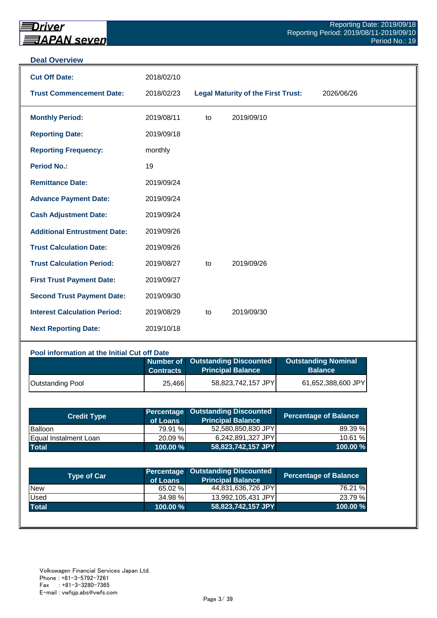#### **Deal Overview**

| <b>Cut Off Date:</b>                | 2018/02/10 |    |                                           |            |
|-------------------------------------|------------|----|-------------------------------------------|------------|
| <b>Trust Commencement Date:</b>     | 2018/02/23 |    | <b>Legal Maturity of the First Trust:</b> | 2026/06/26 |
| <b>Monthly Period:</b>              | 2019/08/11 | to | 2019/09/10                                |            |
| <b>Reporting Date:</b>              | 2019/09/18 |    |                                           |            |
| <b>Reporting Frequency:</b>         | monthly    |    |                                           |            |
| <b>Period No.:</b>                  | 19         |    |                                           |            |
| <b>Remittance Date:</b>             | 2019/09/24 |    |                                           |            |
| <b>Advance Payment Date:</b>        | 2019/09/24 |    |                                           |            |
| <b>Cash Adjustment Date:</b>        | 2019/09/24 |    |                                           |            |
| <b>Additional Entrustment Date:</b> | 2019/09/26 |    |                                           |            |
| <b>Trust Calculation Date:</b>      | 2019/09/26 |    |                                           |            |
| <b>Trust Calculation Period:</b>    | 2019/08/27 | to | 2019/09/26                                |            |
| <b>First Trust Payment Date:</b>    | 2019/09/27 |    |                                           |            |
| <b>Second Trust Payment Date:</b>   | 2019/09/30 |    |                                           |            |
| <b>Interest Calculation Period:</b> | 2019/08/29 | to | 2019/09/30                                |            |
| <b>Next Reporting Date:</b>         | 2019/10/18 |    |                                           |            |

| Pool information at the Initial Cut off Date |                  |                                                              |                                              |  |  |  |  |  |
|----------------------------------------------|------------------|--------------------------------------------------------------|----------------------------------------------|--|--|--|--|--|
|                                              | <b>Contracts</b> | Number of Outstanding Discounted<br><b>Principal Balance</b> | <b>Outstanding Nominal</b><br><b>Balance</b> |  |  |  |  |  |
| <b>Outstanding Pool</b>                      | 25,466           | 58,823,742,157 JPY                                           | 61,652,388,600 JPY                           |  |  |  |  |  |

| <b>Credit Type</b>           | of Loans    | Percentage Outstanding Discounted<br><b>Principal Balance</b> | <b>Percentage of Balance</b> |
|------------------------------|-------------|---------------------------------------------------------------|------------------------------|
| Balloon                      | 79.91 %     | 52,580,850,830 JPY                                            | 89.39 %                      |
| <b>Equal Instalment Loan</b> | 20.09 %     | 6,242,891,327 JPY                                             | 10.61 %                      |
| <b>Total</b>                 | $100.00 \%$ | 58,823,742,157 JPY                                            | 100.00 %                     |

| Type of Car  | of Loans | Percentage Outstanding Discounted<br><b>Principal Balance</b> | <b>Percentage of Balance</b> |
|--------------|----------|---------------------------------------------------------------|------------------------------|
| <b>New</b>   | 65.02 %  | 44,831,636,726 JPY                                            | 76.21 %                      |
| Used         | 34.98 %  | 13,992,105,431 JPY                                            | 23.79 %                      |
| <b>Total</b> | 100.00 % | 58,823,742,157 JPY                                            | 100.00 %                     |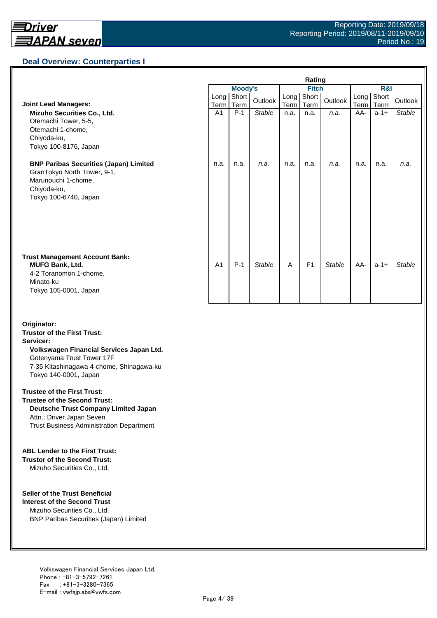## **Deal Overview: Counterparties I**

|                                                                                                                                             | Rating         |                |               |              |                |               |              |               |               |
|---------------------------------------------------------------------------------------------------------------------------------------------|----------------|----------------|---------------|--------------|----------------|---------------|--------------|---------------|---------------|
|                                                                                                                                             |                | <b>Moody's</b> |               | <b>Fitch</b> |                |               | R&I          |               |               |
| <b>Joint Lead Managers:</b>                                                                                                                 | Long<br>Term   | Short<br>Term  | Outlook       | Long<br>Term | Short<br>Term  | Outlook       | Long<br>Term | Short<br>Term | Outlook       |
| Mizuho Securities Co., Ltd.<br>Otemachi Tower, 5-5,<br>Otemachi 1-chome,<br>Chiyoda-ku,<br>Tokyo 100-8176, Japan                            | A <sub>1</sub> | $P-1$          | <b>Stable</b> | n.a.         | n.a.           | n.a.          | AA-          | $a-1+$        | <b>Stable</b> |
| <b>BNP Paribas Securities (Japan) Limited</b><br>GranTokyo North Tower, 9-1,<br>Marunouchi 1-chome,<br>Chiyoda-ku,<br>Tokyo 100-6740, Japan | n.a.           | n.a.           | n.a.          | n.a.         | n.a.           | n.a.          | n.a.         | n.a.          | n.a.          |
| <b>Trust Management Account Bank:</b><br><b>MUFG Bank, Ltd.</b><br>4-2 Toranomon 1-chome,<br>Minato-ku<br>Tokyo 105-0001, Japan             | A <sub>1</sub> | $P-1$          | <b>Stable</b> | A            | F <sub>1</sub> | <b>Stable</b> | AA-          | $a-1+$        | <b>Stable</b> |

#### **Originator: Trustor of the First Trust: Servicer: Volkswagen Financial Services Japan Ltd.** Gotenyama Trust Tower 17F 7-35 Kitashinagawa 4-chome, Shinagawa-ku Tokyo 140-0001, Japan

#### **Trustee of the First Trust:**

**Trustee of the Second Trust: Deutsche Trust Company Limited Japan** Attn.: Driver Japan Seven Trust Business Administration Department

#### **ABL Lender to the First Trust:**

**Trustor of the Second Trust:** Mizuho Securities Co., Ltd.

#### **Seller of the Trust Beneficial**

**Interest of the Second Trust** Mizuho Securities Co., Ltd. BNP Paribas Securities (Japan) Limited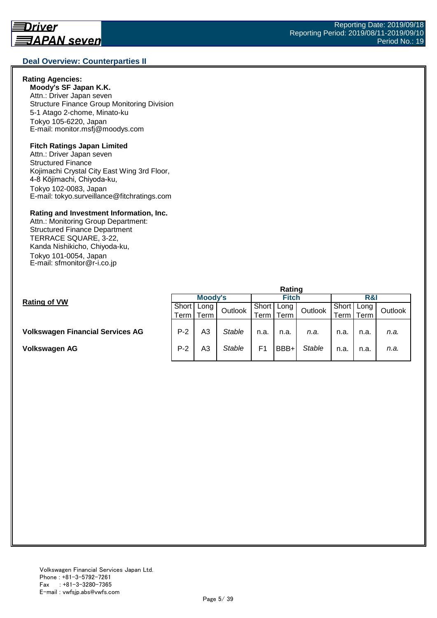#### **Deal Overview: Counterparties II**

#### **Rating Agencies:**

**Moody's SF Japan K.K.** Attn.: Driver Japan seven Structure Finance Group Monitoring Division 5-1 Atago 2-chome, Minato-ku Tokyo 105-6220, Japan E-mail: monitor.msfj@moodys.com

#### **Fitch Ratings Japan Limited**

Attn.: Driver Japan seven Structured Finance Kojimachi Crystal City East Wing 3rd Floor, 4-8 Kōjimachi, Chiyoda-ku, Tokyo 102-0083, Japan E-mail: tokyo.surveillance@fitchratings.com

#### **Rating and Investment Information, Inc.**

Attn.: Monitoring Group Department: Structured Finance Department TERRACE SQUARE, 3-22, Kanda Nishikicho, Chiyoda-ku, Tokyo 101-0054, Japan E-mail: sfmonitor@r-i.co.jp

|                                         | Rating  |        |               |              |      |               |       |      |         |  |
|-----------------------------------------|---------|--------|---------------|--------------|------|---------------|-------|------|---------|--|
| <b>Rating of VW</b>                     | Moody's |        |               | <b>Fitch</b> |      |               | R&I   |      |         |  |
|                                         | Short   | Long I | Outlook       | Short        | Long | Outlook       | Short | Long | Outlook |  |
|                                         | Term    | Term   |               | Term.        | Term |               | ⊺erm⊣ | Term |         |  |
|                                         |         |        |               |              |      |               |       |      |         |  |
| <b>Volkswagen Financial Services AG</b> | $P-2$   | A3     | <b>Stable</b> | n.a.         | n.a. | n.a.          | n.a.  | n.a. | n.a.    |  |
|                                         |         |        |               |              |      |               |       |      |         |  |
| Volkswagen AG                           | $P-2$   | A3     | Stable        | F1           | BBB+ | <b>Stable</b> | n.a.  | n.a. | n.a.    |  |
|                                         |         |        |               |              |      |               |       |      |         |  |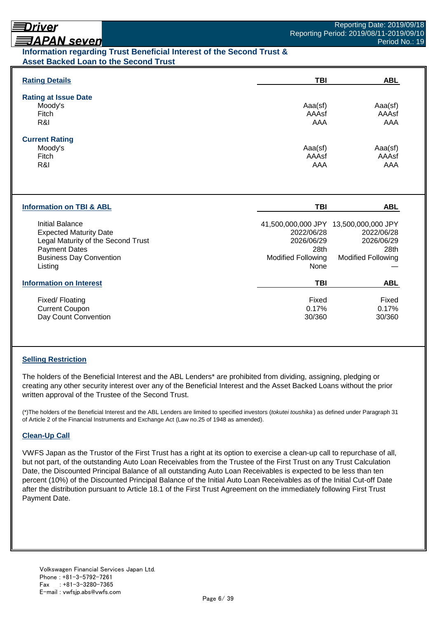## Driver

# **ヨAPAN seven**

## **Information regarding Trust Beneficial Interest of the Second Trust & Asset Backed Loan to the Second Trust**

| <b>Rating Details</b>                                                                                                                                       | <b>TBI</b>                                                                                                            | <b>ABL</b>                                                    |
|-------------------------------------------------------------------------------------------------------------------------------------------------------------|-----------------------------------------------------------------------------------------------------------------------|---------------------------------------------------------------|
| <b>Rating at Issue Date</b><br>Moody's<br>Fitch<br>R&I                                                                                                      | Aaa(sf)<br>AAAsf<br>AAA                                                                                               | Aaa(sf)<br>AAAsf<br>AAA                                       |
| <b>Current Rating</b><br>Moody's<br>Fitch<br>R&I                                                                                                            | Aaa(sf)<br>AAAsf<br>AAA                                                                                               | Aaa(sf)<br>AAAsf<br>AAA                                       |
| <b>Information on TBI &amp; ABL</b>                                                                                                                         | <b>TBI</b>                                                                                                            | <b>ABL</b>                                                    |
| Initial Balance<br><b>Expected Maturity Date</b><br>Legal Maturity of the Second Trust<br><b>Payment Dates</b><br><b>Business Day Convention</b><br>Listing | 41,500,000,000 JPY 13,500,000,000 JPY<br>2022/06/28<br>2026/06/29<br>28th<br><b>Modified Following</b><br><b>None</b> | 2022/06/28<br>2026/06/29<br>28th<br><b>Modified Following</b> |
| <b>Information on Interest</b>                                                                                                                              | <b>TBI</b>                                                                                                            | <b>ABL</b>                                                    |
| Fixed/Floating<br><b>Current Coupon</b><br>Day Count Convention                                                                                             | Fixed<br>0.17%<br>30/360                                                                                              | Fixed<br>0.17%<br>30/360                                      |

## **Selling Restriction**

The holders of the Beneficial Interest and the ABL Lenders\* are prohibited from dividing, assigning, pledging or creating any other security interest over any of the Beneficial Interest and the Asset Backed Loans without the prior written approval of the Trustee of the Second Trust.

(\*)The holders of the Beneficial Interest and the ABL Lenders are limited to specified investors (*tokutei toushika* ) as defined under Paragraph 31 of Article 2 of the Financial Instruments and Exchange Act (Law no.25 of 1948 as amended).

#### **Clean-Up Call**

VWFS Japan as the Trustor of the First Trust has a right at its option to exercise a clean-up call to repurchase of all, but not part, of the outstanding Auto Loan Receivables from the Trustee of the First Trust on any Trust Calculation Date, the Discounted Principal Balance of all outstanding Auto Loan Receivables is expected to be less than ten percent (10%) of the Discounted Principal Balance of the Initial Auto Loan Receivables as of the Initial Cut-off Date after the distribution pursuant to Article 18.1 of the First Trust Agreement on the immediately following First Trust Payment Date.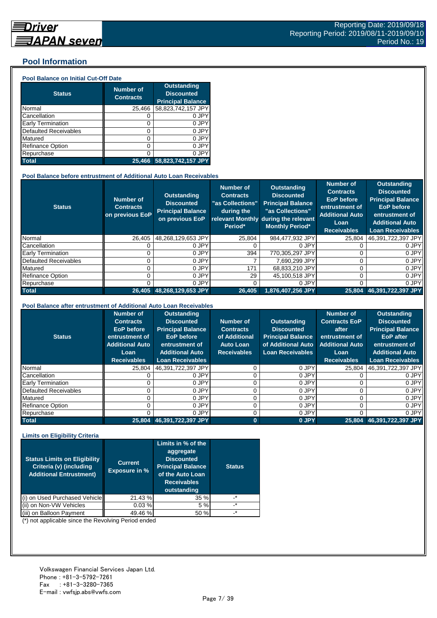## **Pool Information**

#### **Pool Balance on Initial Cut-Off Date**

| <b>Status</b>                | <b>Number of</b><br><b>Contracts</b> | <b>Outstanding</b><br><b>Discounted</b><br><b>Principal Balance</b> |
|------------------------------|--------------------------------------|---------------------------------------------------------------------|
| Normal                       | 25,466                               | 58,823,742,157 JPY                                                  |
| Cancellation                 | O                                    | 0 JPY                                                               |
| Early Termination            | 0                                    | 0 JPY                                                               |
| <b>Defaulted Receivables</b> | 0                                    | 0 JPY                                                               |
| Matured                      | 0                                    | 0 JPY                                                               |
| <b>Refinance Option</b>      | 0                                    | 0 JPY                                                               |
| Repurchase                   | 0                                    | 0 JPY                                                               |
| <b>Total</b>                 | 25.466                               | 58,823,742,157 JPY                                                  |

#### **Pool Balance before entrustment of Additional Auto Loan Receivables**

| <b>Status</b>            | <b>Number of</b><br><b>Contracts</b><br>on previous EoP | <b>Outstanding</b><br><b>Discounted</b><br><b>Principal Balance</b><br>on previous EoP | <b>Number of</b><br><b>Contracts</b><br>"as Collections"<br>during the<br>Period* | <b>Outstanding</b><br><b>Discounted</b><br><b>Principal Balance</b><br>"as Collections"<br>relevant Monthly during the relevant<br><b>Monthly Period*</b> | Number of<br><b>Contracts</b><br><b>EoP</b> before<br>entrustment of<br><b>Additional Auto</b><br>Loan<br><b>Receivables</b> | <b>Outstanding</b><br><b>Discounted</b><br><b>Principal Balance</b><br><b>EoP</b> before<br>entrustment of<br><b>Additional Auto</b><br><b>Loan Receivables</b> |
|--------------------------|---------------------------------------------------------|----------------------------------------------------------------------------------------|-----------------------------------------------------------------------------------|-----------------------------------------------------------------------------------------------------------------------------------------------------------|------------------------------------------------------------------------------------------------------------------------------|-----------------------------------------------------------------------------------------------------------------------------------------------------------------|
| Normal                   | 26.405                                                  | 48.268.129.653 JPY                                                                     | 25.804                                                                            | 984.477.932 JPY                                                                                                                                           | 25.804                                                                                                                       | 46,391,722,397 JPY                                                                                                                                              |
| Cancellation             |                                                         | 0 JPY                                                                                  |                                                                                   | 0 JPY                                                                                                                                                     |                                                                                                                              | 0 JPY                                                                                                                                                           |
| <b>Early Termination</b> |                                                         | 0 JPY                                                                                  | 394                                                                               | 770.305.297 JPY                                                                                                                                           |                                                                                                                              | 0 JPY                                                                                                                                                           |
| Defaulted Receivables    |                                                         | 0 JPY                                                                                  |                                                                                   | 7.690.299 JPY                                                                                                                                             |                                                                                                                              | 0 JPY                                                                                                                                                           |
| Matured                  |                                                         | 0 JPY                                                                                  | 171                                                                               | 68,833,210 JPY                                                                                                                                            |                                                                                                                              | 0 JPY                                                                                                                                                           |
| <b>Refinance Option</b>  |                                                         | 0 JPY                                                                                  | 29                                                                                | 45,100,518 JPY                                                                                                                                            |                                                                                                                              | 0 JPY                                                                                                                                                           |
| Repurchase               |                                                         | 0 JPY                                                                                  |                                                                                   | 0 JPY                                                                                                                                                     |                                                                                                                              | 0 JPY                                                                                                                                                           |
| <b>Total</b>             | 26.405                                                  | 48,268,129,653 JPY                                                                     | 26,405                                                                            | 1,876,407,256 JPY                                                                                                                                         | 25,804                                                                                                                       | 46,391,722,397 JPY                                                                                                                                              |

#### **Pool Balance after entrustment of Additional Auto Loan Receivables**

| <b>Status</b>            | <b>Number of</b><br><b>Contracts</b><br>EoP before<br>entrustment of<br><b>Additional Auto</b><br>Loan<br><b>Receivables</b> | <b>Outstanding</b><br><b>Discounted</b><br><b>Principal Balance</b><br><b>EoP</b> before<br>entrustment of<br><b>Additional Auto</b><br><b>Loan Receivables</b> | Number of<br><b>Contracts</b><br>of Additional<br><b>Auto Loan</b><br><b>Receivables</b> | <b>Outstanding</b><br><b>Discounted</b><br><b>Principal Balance</b><br>of Additional Auto<br><b>Loan Receivables</b> | <b>Number of</b><br><b>Contracts EoP</b><br>after<br>entrustment of<br><b>Additional Auto</b><br>Loan<br><b>Receivables</b> | <b>Outstanding</b><br><b>Discounted</b><br><b>Principal Balance</b><br><b>EoP</b> after<br>entrustment of<br><b>Additional Auto</b><br><b>Loan Receivables</b> |
|--------------------------|------------------------------------------------------------------------------------------------------------------------------|-----------------------------------------------------------------------------------------------------------------------------------------------------------------|------------------------------------------------------------------------------------------|----------------------------------------------------------------------------------------------------------------------|-----------------------------------------------------------------------------------------------------------------------------|----------------------------------------------------------------------------------------------------------------------------------------------------------------|
| Normal                   | 25.804                                                                                                                       | 46,391,722,397 JPY                                                                                                                                              |                                                                                          | 0 JPY                                                                                                                | 25.804                                                                                                                      | 46,391,722,397 JPY                                                                                                                                             |
| Cancellation             |                                                                                                                              | 0 JPY                                                                                                                                                           |                                                                                          | 0 JPY                                                                                                                |                                                                                                                             | 0 JPY                                                                                                                                                          |
| <b>Early Termination</b> |                                                                                                                              | 0 JPY                                                                                                                                                           |                                                                                          | 0 JPY                                                                                                                |                                                                                                                             | 0 JPY                                                                                                                                                          |
| Defaulted Receivables    |                                                                                                                              | 0 JPY                                                                                                                                                           |                                                                                          | 0 JPY                                                                                                                |                                                                                                                             | 0 JPY                                                                                                                                                          |
| Matured                  |                                                                                                                              | 0 JPY                                                                                                                                                           |                                                                                          | 0 JPY                                                                                                                |                                                                                                                             | 0 JPY                                                                                                                                                          |
| <b>Refinance Option</b>  |                                                                                                                              | 0 JPY                                                                                                                                                           |                                                                                          | 0 JPY                                                                                                                |                                                                                                                             | 0 JPY                                                                                                                                                          |
| Repurchase               |                                                                                                                              | 0 JPY                                                                                                                                                           |                                                                                          | 0 JPY                                                                                                                |                                                                                                                             | 0 JPY                                                                                                                                                          |
| <b>Total</b>             | 25.804                                                                                                                       | 46,391,722,397 JPY                                                                                                                                              | 0                                                                                        | 0 JPY                                                                                                                | 25.804                                                                                                                      | 46.391.722.397 JPY                                                                                                                                             |

#### **Limits on Eligibility Criteria**

| <b>Status Limits on Eligibility</b><br>Criteria (v) (including<br><b>Additional Entrustment)</b> | <b>Current</b><br><b>Exposure in %</b> | Limits in % of the<br>aggregate<br><b>Discounted</b><br><b>Principal Balance</b><br>of the Auto Loan<br><b>Receivables</b><br>outstanding | <b>Status</b> |
|--------------------------------------------------------------------------------------------------|----------------------------------------|-------------------------------------------------------------------------------------------------------------------------------------------|---------------|
| on Used Purchased Vehicle                                                                        | 21.43 %                                | 35 %                                                                                                                                      | _*            |
| on Non-VW Vehicles                                                                               | 0.03%                                  | 5 %                                                                                                                                       | $\cdot^*$     |
| on Balloon Payment                                                                               | 49.46 %                                | 50 %                                                                                                                                      | $\star$       |

(\*) not applicable since the Revolving Period ended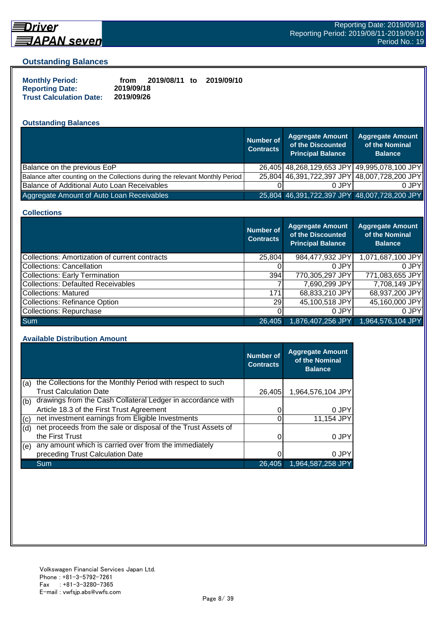

# **Driver** <u> 司APAN seven</u>

#### **Outstanding Balances**

| <b>Monthly Period:</b>         | from       | 2019/08/11 to | 2019/09/10 |
|--------------------------------|------------|---------------|------------|
| <b>Reporting Date:</b>         | 2019/09/18 |               |            |
| <b>Trust Calculation Date:</b> | 2019/09/26 |               |            |

## **Outstanding Balances**

|                                                                              | <b>Number of</b><br><b>Contracts</b> | <b>Aggregate Amount</b><br>of the Discounted<br><b>Principal Balance</b> | <b>Aggregate Amount</b><br>of the Nominal<br><b>Balance</b> |
|------------------------------------------------------------------------------|--------------------------------------|--------------------------------------------------------------------------|-------------------------------------------------------------|
| Balance on the previous EoP                                                  |                                      |                                                                          | 26,405 48,268,129,653 JPY 49,995,078,100 JPY                |
| Balance after counting on the Collections during the relevant Monthly Period |                                      |                                                                          | 25,804 46,391,722,397 JPY 48,007,728,200 JPY                |
| Balance of Additional Auto Loan Receivables                                  |                                      | 0 JPY                                                                    | 0 JPY                                                       |
| Aggregate Amount of Auto Loan Receivables                                    |                                      | 25,804 46,391,722,397 JPY 48,007,728,200 JPY                             |                                                             |

#### **Collections**

|                                                | <b>Number of</b><br><b>Contracts</b> | <b>Aggregate Amount</b><br>of the Discounted<br><b>Principal Balance</b> | <b>Aggregate Amount</b><br>of the Nominal<br><b>Balance</b> |
|------------------------------------------------|--------------------------------------|--------------------------------------------------------------------------|-------------------------------------------------------------|
| Collections: Amortization of current contracts | 25,804                               | 984,477,932 JPY                                                          | 1,071,687,100 JPY                                           |
| Collections: Cancellation                      |                                      | 0 JPY                                                                    | 0.JPY                                                       |
| <b>Collections: Early Termination</b>          | 394                                  | 770,305,297 JPY                                                          | 771,083,655 JPY                                             |
| <b>Collections: Defaulted Receivables</b>      |                                      | 7,690,299 JPY                                                            | 7,708,149 JPY                                               |
| Collections: Matured                           | 171                                  | 68,833,210 JPY                                                           | 68,937,200 JPY                                              |
| <b>Collections: Refinance Option</b>           | <b>291</b>                           | 45,100,518 JPY                                                           | 45,160,000 JPY                                              |
| Collections: Repurchase                        |                                      | 0 JPY                                                                    | 0 JPY                                                       |
| <b>Sum</b>                                     | 26.405                               | 1,876,407,256 JPY                                                        | $1,964,576,104$ JPY                                         |

#### **Available Distribution Amount**

|     |                                                               | <b>Number of</b><br><b>Contracts</b> | <b>Aggregate Amount</b><br>of the Nominal<br><b>Balance</b> |
|-----|---------------------------------------------------------------|--------------------------------------|-------------------------------------------------------------|
| (a) | the Collections for the Monthly Period with respect to such   |                                      |                                                             |
|     | <b>Trust Calculation Date</b>                                 | 26,405                               | 1,964,576,104 JPY                                           |
| (b) | drawings from the Cash Collateral Ledger in accordance with   |                                      |                                                             |
|     | Article 18.3 of the First Trust Agreement                     |                                      | 0 JPY                                                       |
| (c) | net investment earnings from Eligible Investments             |                                      | 11,154 JPY                                                  |
| (d) | net proceeds from the sale or disposal of the Trust Assets of |                                      |                                                             |
|     | the First Trust                                               |                                      | 0 JPY                                                       |
| (e) | any amount which is carried over from the immediately         |                                      |                                                             |
|     | preceding Trust Calculation Date                              |                                      | 0 JPY                                                       |
|     | Sum                                                           | 26.405                               | 1,964,587,258 JPY                                           |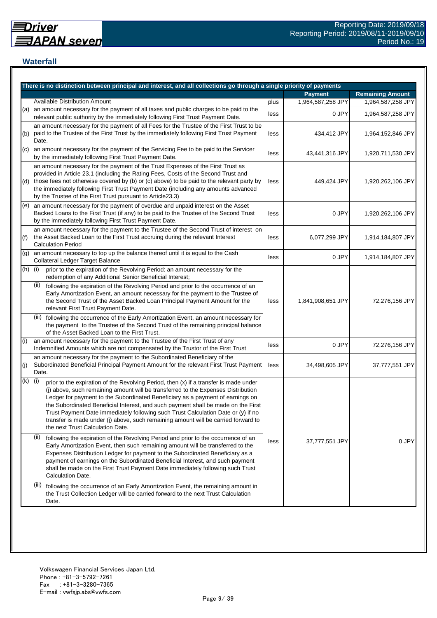## **Waterfall**

|                            | There is no distinction between principal and interest, and all collections go through a single priority of payments                                                                                                                                                                                                                                                                                                                                                                                                                                                    |      |                   |                         |
|----------------------------|-------------------------------------------------------------------------------------------------------------------------------------------------------------------------------------------------------------------------------------------------------------------------------------------------------------------------------------------------------------------------------------------------------------------------------------------------------------------------------------------------------------------------------------------------------------------------|------|-------------------|-------------------------|
|                            |                                                                                                                                                                                                                                                                                                                                                                                                                                                                                                                                                                         |      | <b>Payment</b>    | <b>Remaining Amount</b> |
|                            | <b>Available Distribution Amount</b>                                                                                                                                                                                                                                                                                                                                                                                                                                                                                                                                    | plus | 1,964,587,258 JPY | 1,964,587,258 JPY       |
| (a)                        | an amount necessary for the payment of all taxes and public charges to be paid to the<br>relevant public authority by the immediately following First Trust Payment Date.                                                                                                                                                                                                                                                                                                                                                                                               | less | 0 JPY             | 1,964,587,258 JPY       |
| (b)                        | an amount necessary for the payment of all Fees for the Trustee of the First Trust to be<br>paid to the Trustee of the First Trust by the immediately following First Trust Payment<br>Date.                                                                                                                                                                                                                                                                                                                                                                            | less | 434,412 JPY       | 1,964,152,846 JPY       |
| $\left( \mathrm{c}\right)$ | an amount necessary for the payment of the Servicing Fee to be paid to the Servicer<br>by the immediately following First Trust Payment Date.                                                                                                                                                                                                                                                                                                                                                                                                                           | less | 43,441,316 JPY    | 1,920,711,530 JPY       |
| (d)                        | an amount necessary for the payment of the Trust Expenses of the First Trust as<br>provided in Article 23.1 (including the Rating Fees, Costs of the Second Trust and<br>those fees not otherwise covered by (b) or (c) above) to be paid to the relevant party by<br>the immediately following First Trust Payment Date (including any amounts advanced<br>by the Trustee of the First Trust pursuant to Article23.3)                                                                                                                                                  | less | 449,424 JPY       | 1,920,262,106 JPY       |
| (e)                        | an amount necessary for the payment of overdue and unpaid interest on the Asset<br>Backed Loans to the First Trust (if any) to be paid to the Trustee of the Second Trust<br>by the immediately following First Trust Payment Date.                                                                                                                                                                                                                                                                                                                                     | less | 0 JPY             | 1,920,262,106 JPY       |
| (f)                        | an amount necessary for the payment to the Trustee of the Second Trust of interest on<br>the Asset Backed Loan to the First Trust accruing during the relevant Interest<br><b>Calculation Period</b>                                                                                                                                                                                                                                                                                                                                                                    | less | 6,077,299 JPY     | 1,914,184,807 JPY       |
| (g)                        | an amount necessary to top up the balance thereof until it is equal to the Cash<br>Collateral Ledger Target Balance                                                                                                                                                                                                                                                                                                                                                                                                                                                     | less | 0 JPY             | 1,914,184,807 JPY       |
| (h)                        | (i)<br>prior to the expiration of the Revolving Period: an amount necessary for the<br>redemption of any Additional Senior Beneficial Interest;                                                                                                                                                                                                                                                                                                                                                                                                                         |      |                   |                         |
|                            | (ii)<br>following the expiration of the Revolving Period and prior to the occurrence of an<br>Early Amortization Event, an amount necessary for the payment to the Trustee of<br>the Second Trust of the Asset Backed Loan Principal Payment Amount for the<br>relevant First Trust Payment Date.                                                                                                                                                                                                                                                                       | less | 1,841,908,651 JPY | 72,276,156 JPY          |
|                            | (iii) following the occurrence of the Early Amortization Event, an amount necessary for<br>the payment to the Trustee of the Second Trust of the remaining principal balance<br>of the Asset Backed Loan to the First Trust.                                                                                                                                                                                                                                                                                                                                            |      |                   |                         |
| (i)                        | an amount necessary for the payment to the Trustee of the First Trust of any<br>Indemnified Amounts which are not compensated by the Trustor of the First Trust                                                                                                                                                                                                                                                                                                                                                                                                         | less | 0 JPY             | 72,276,156 JPY          |
| (j)                        | an amount necessary for the payment to the Subordinated Beneficiary of the<br>Subordinated Beneficial Principal Payment Amount for the relevant First Trust Payment<br>Date.                                                                                                                                                                                                                                                                                                                                                                                            | less | 34,498,605 JPY    | 37,777,551 JPY          |
| (k)                        | (i)<br>prior to the expiration of the Revolving Period, then (x) if a transfer is made under<br>(j) above, such remaining amount will be transferred to the Expenses Distribution<br>Ledger for payment to the Subordinated Beneficiary as a payment of earnings on<br>the Subordinated Beneficial Interest, and such payment shall be made on the First<br>Trust Payment Date immediately following such Trust Calculation Date or (y) if no<br>transfer is made under (j) above, such remaining amount will be carried forward to<br>the next Trust Calculation Date. |      |                   |                         |
|                            | (ii)<br>following the expiration of the Revolving Period and prior to the occurrence of an<br>Early Amortization Event, then such remaining amount will be transferred to the<br>Expenses Distribution Ledger for payment to the Subordinated Beneficiary as a<br>payment of earnings on the Subordinated Beneficial Interest, and such payment<br>shall be made on the First Trust Payment Date immediately following such Trust<br>Calculation Date.                                                                                                                  | less | 37,777,551 JPY    | 0 JPY                   |
|                            | (iii)<br>following the occurrence of an Early Amortization Event, the remaining amount in<br>the Trust Collection Ledger will be carried forward to the next Trust Calculation<br>Date.                                                                                                                                                                                                                                                                                                                                                                                 |      |                   |                         |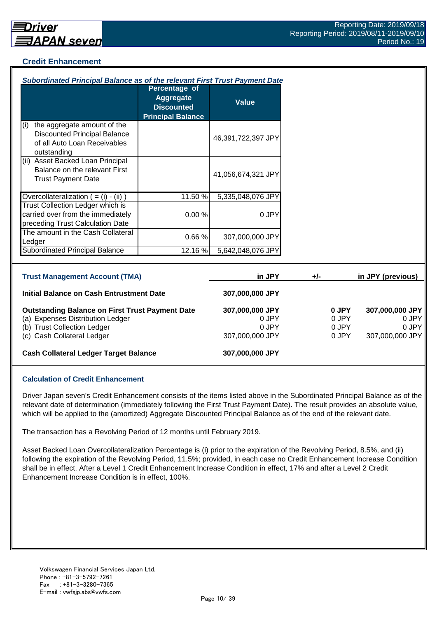## **Credit Enhancement**

| Subordinated Principal Balance as of the relevant First Trust Payment Date                                                                              |                                                                                    |                                                      |       |                                  |                                                      |
|---------------------------------------------------------------------------------------------------------------------------------------------------------|------------------------------------------------------------------------------------|------------------------------------------------------|-------|----------------------------------|------------------------------------------------------|
|                                                                                                                                                         | Percentage of<br><b>Aggregate</b><br><b>Discounted</b><br><b>Principal Balance</b> | <b>Value</b>                                         |       |                                  |                                                      |
| the aggregate amount of the<br>(i)<br><b>Discounted Principal Balance</b><br>of all Auto Loan Receivables<br>outstanding                                |                                                                                    | 46,391,722,397 JPY                                   |       |                                  |                                                      |
| (ii) Asset Backed Loan Principal<br>Balance on the relevant First<br><b>Trust Payment Date</b>                                                          |                                                                                    | 41,056,674,321 JPY                                   |       |                                  |                                                      |
| Overcollateralization $( = (i) - (ii))$                                                                                                                 | 11.50 %                                                                            | 5,335,048,076 JPY                                    |       |                                  |                                                      |
| Trust Collection Ledger which is<br>carried over from the immediately<br>preceding Trust Calculation Date                                               | 0.00%                                                                              | 0 JPY                                                |       |                                  |                                                      |
| The amount in the Cash Collateral<br>Ledger                                                                                                             | 0.66%                                                                              | 307,000,000 JPY                                      |       |                                  |                                                      |
| <b>Subordinated Principal Balance</b>                                                                                                                   | 12.16 %                                                                            | 5,642,048,076 JPY                                    |       |                                  |                                                      |
| <b>Trust Management Account (TMA)</b>                                                                                                                   |                                                                                    | in JPY                                               | $+/-$ |                                  | in JPY (previous)                                    |
| <b>Initial Balance on Cash Entrustment Date</b>                                                                                                         |                                                                                    | 307,000,000 JPY                                      |       |                                  |                                                      |
| <b>Outstanding Balance on First Trust Payment Date</b><br>(a) Expenses Distribution Ledger<br>(b) Trust Collection Ledger<br>(c) Cash Collateral Ledger |                                                                                    | 307,000,000 JPY<br>0 JPY<br>0 JPY<br>307,000,000 JPY |       | 0 JPY<br>0 JPY<br>0 JPY<br>0 JPY | 307,000,000 JPY<br>0 JPY<br>0 JPY<br>307,000,000 JPY |
| <b>Cash Collateral Ledger Target Balance</b>                                                                                                            |                                                                                    | 307,000,000 JPY                                      |       |                                  |                                                      |

#### **Calculation of Credit Enhancement**

Driver Japan seven's Credit Enhancement consists of the items listed above in the Subordinated Principal Balance as of the relevant date of determination (immediately following the First Trust Payment Date). The result provides an absolute value, which will be applied to the (amortized) Aggregate Discounted Principal Balance as of the end of the relevant date.

The transaction has a Revolving Period of 12 months until February 2019.

Asset Backed Loan Overcollateralization Percentage is (i) prior to the expiration of the Revolving Period, 8.5%, and (ii) following the expiration of the Revolving Period, 11.5%; provided, in each case no Credit Enhancement Increase Condition shall be in effect. After a Level 1 Credit Enhancement Increase Condition in effect, 17% and after a Level 2 Credit Enhancement Increase Condition is in effect, 100%.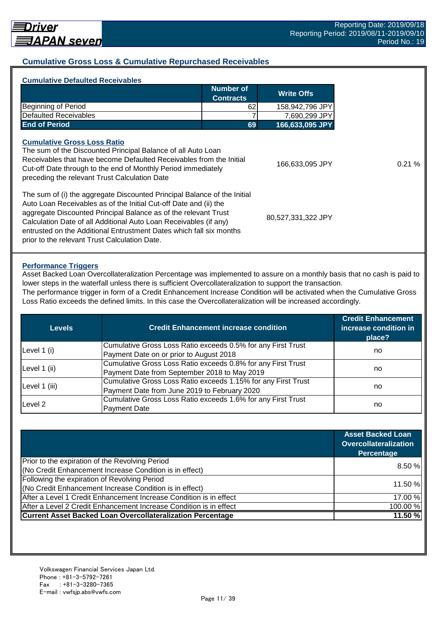## **Cumulative Gross Loss & Cumulative Repurchased Receivables**

| <b>Cumulative Defaulted Receivables</b>                                                                                                                                               | <b>Number of</b>                                             | <b>Write Offs</b> |
|---------------------------------------------------------------------------------------------------------------------------------------------------------------------------------------|--------------------------------------------------------------|-------------------|
|                                                                                                                                                                                       | <b>Contracts</b>                                             |                   |
| Beginning of Period                                                                                                                                                                   | 62                                                           | 158,942,796 JPY   |
| Defaulted Receivables                                                                                                                                                                 |                                                              | 7,690,299 JPY     |
| <b>End of Period</b>                                                                                                                                                                  | 69                                                           | 166,633,095 JPY   |
|                                                                                                                                                                                       | The sum of the Discounted Principal Balance of all Auto Loan |                   |
| Receivables that have become Defaulted Receivables from the Initial<br>Cut-off Date through to the end of Monthly Period immediately<br>preceding the relevant Trust Calculation Date |                                                              | 166,633,095 JPY   |

#### **Performance Triggers**

Asset Backed Loan Overcollateralization Percentage was implemented to assure on a monthly basis that no cash is paid to lower steps in the waterfall unless there is sufficient Overcollateralization to support the transaction. The performance trigger in form of a Credit Enhancement Increase Condition will be activated when the Cumulative Gross

Loss Ratio exceeds the defined limits. In this case the Overcollateralization will be increased accordingly.

| Levels        | <b>Credit Enhancement increase condition</b>                  | <b>Credit Enhancement</b><br>increase condition in<br>place? |  |
|---------------|---------------------------------------------------------------|--------------------------------------------------------------|--|
|               | Cumulative Gross Loss Ratio exceeds 0.5% for any First Trust  |                                                              |  |
| Level 1 (i)   | Payment Date on or prior to August 2018                       | no                                                           |  |
| Level 1 (ii)  | Cumulative Gross Loss Ratio exceeds 0.8% for any First Trust  |                                                              |  |
|               | Payment Date from September 2018 to May 2019                  | no                                                           |  |
|               | Cumulative Gross Loss Ratio exceeds 1.15% for any First Trust |                                                              |  |
| Level 1 (iii) | Payment Date from June 2019 to February 2020                  | no                                                           |  |
| Level 2       | Cumulative Gross Loss Ratio exceeds 1.6% for any First Trust  |                                                              |  |
|               | <b>Payment Date</b>                                           | no                                                           |  |

|                                                                    | <b>Asset Backed Loan</b><br><b>Overcollateralization</b><br>Percentage |
|--------------------------------------------------------------------|------------------------------------------------------------------------|
| Prior to the expiration of the Revolving Period                    | 8.50 %                                                                 |
| (No Credit Enhancement Increase Condition is in effect)            |                                                                        |
| Following the expiration of Revolving Period                       |                                                                        |
| (No Credit Enhancement Increase Condition is in effect)            | 11.50 %                                                                |
| After a Level 1 Credit Enhancement Increase Condition is in effect | 17.00 %                                                                |
| After a Level 2 Credit Enhancement Increase Condition is in effect | 100.00%                                                                |
| <b>Current Asset Backed Loan Overcollateralization Percentage</b>  | 11.50%                                                                 |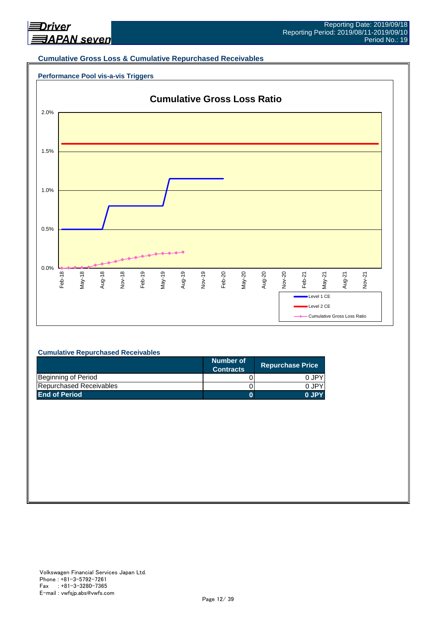

#### **Cumulative Gross Loss & Cumulative Repurchased Receivables**

## **Performance Pool vis-a-vis Triggers**



#### **Cumulative Repurchased Receivables**

|                         | Number of<br><b>Contracts</b> | <b>Repurchase Price</b> |
|-------------------------|-------------------------------|-------------------------|
| Beginning of Period     |                               | 0 JPY                   |
| Repurchased Receivables |                               | 0.JPY                   |
| <b>End of Period</b>    |                               | 0 JPY                   |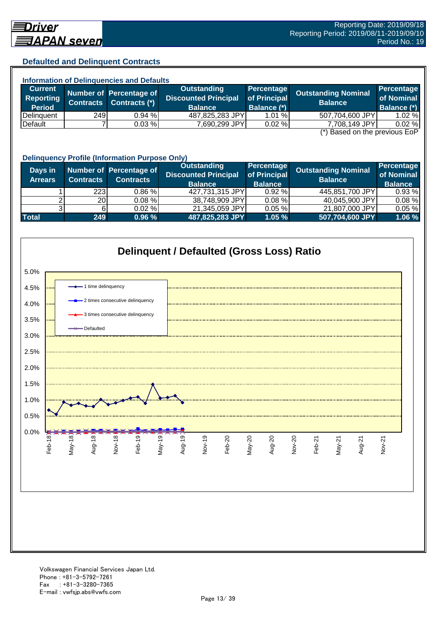## **Defaulted and Delinquent Contracts**

| <b>Information of Delinguencies and Defaults</b> |  |                                          |                                                   |                                           |                                                                                                                                                                                                                               |  |  |
|--------------------------------------------------|--|------------------------------------------|---------------------------------------------------|-------------------------------------------|-------------------------------------------------------------------------------------------------------------------------------------------------------------------------------------------------------------------------------|--|--|
|                                                  |  | Outstanding                              |                                                   |                                           | Percentage                                                                                                                                                                                                                    |  |  |
|                                                  |  | <b>Discounted Principal</b>              |                                                   |                                           | of Nominal                                                                                                                                                                                                                    |  |  |
|                                                  |  | <b>Balance</b>                           |                                                   |                                           | <b>Balance (*)</b>                                                                                                                                                                                                            |  |  |
|                                                  |  |                                          |                                                   |                                           | 1.02%                                                                                                                                                                                                                         |  |  |
|                                                  |  |                                          |                                                   |                                           | 0.02%                                                                                                                                                                                                                         |  |  |
|                                                  |  | Contracts (*)<br><b>Contracts</b><br>249 | Number of Percentage of<br>$0.94 \%$<br>$0.03 \%$ | 487,825,283 JPY<br>0.02%<br>7,690,299 JPY | <b>Percentage</b><br><b>Outstanding Nominal</b><br>of Principal<br><b>Balance</b><br><b>Balance (*)</b><br>507,704,600 JPY<br>1.01%<br>7,708,149 JPY<br>$\left( \star \right)$ Description the magnetic $\Gamma \circ \Gamma$ |  |  |

(\*) Based on the previous EoP

|                           | <b>Delinquency Profile (Information Purpose Only)</b> |                                             |                                                                     |                                              |                                              |                                            |  |  |
|---------------------------|-------------------------------------------------------|---------------------------------------------|---------------------------------------------------------------------|----------------------------------------------|----------------------------------------------|--------------------------------------------|--|--|
| Days in<br><b>Arrears</b> | <b>Contracts</b>                                      | Number of Percentage of<br><b>Contracts</b> | <b>Outstanding</b><br><b>Discounted Principal</b><br><b>Balance</b> | Percentage<br>of Principal<br><b>Balance</b> | <b>Outstanding Nominal</b><br><b>Balance</b> | Percentage<br>of Nominal<br><b>Balance</b> |  |  |
|                           | 223                                                   | $0.86 \%$                                   | 427,731,315 JPY                                                     | 0.92%                                        | 445,851,700 JPY                              | 0.93%                                      |  |  |
|                           | 20                                                    | $0.08 \%$                                   | 38,748,909 JPY                                                      | 0.08%                                        | 40,045,900 JPY                               | $0.08 \%$                                  |  |  |
|                           |                                                       | $0.02 \%$                                   | 21,345,059 JPY                                                      | 0.05%                                        | 21,807,000 JPY                               | 0.05%                                      |  |  |
| <b>Total</b>              | 249                                                   | 0.96%                                       | 487,825,283 JPY                                                     | 1.05%                                        | 507,704,600 JPY                              | 1.06 %                                     |  |  |

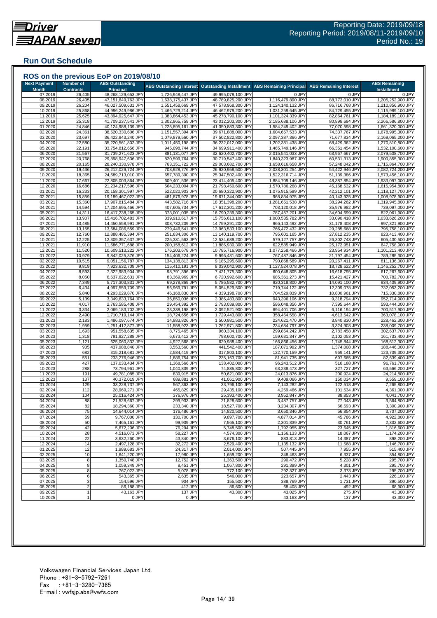## **Run Out Schedule**

| <b>Next Payment</b> | <b>Number of</b> | <b>ABS Outstanding</b>                   | <b>ABS Outstanding Interest</b>        | <b>Outstanding Installment</b>           | <b>ABS Remaining Principal</b>         | <b>ABS Remaining Interest</b>    | <b>ABS Remaining</b>                   |
|---------------------|------------------|------------------------------------------|----------------------------------------|------------------------------------------|----------------------------------------|----------------------------------|----------------------------------------|
| <b>Month</b>        | <b>Contracts</b> | Principal                                |                                        | 49,995,078,100 JPY                       | 0 JPY                                  | 0 JPY                            | <b>Installment</b>                     |
| 07.2019<br>08.2019  | 26,405<br>26,405 | 48,268,129,653 JPY<br>47,151,649,763 JPY | 1,726,948,447 JPY<br>1,638,175,437 JPY | 48,789,825,200 JPY                       | 1,116,479,890 JPY                      | 88,773,010 JPY                   | 0 JPY<br>1,205,252,900 JPY             |
| 09.2019             | 26,204           | 46,027,509,631 JPY                       | 1,551,458,669 JPY                      | 47,578,968,300 JPY                       | 1,124,140,132 JPY                      | 86,716,768 JPY                   | 1,210,856,900 JPY                      |
| 10.2019             | 25,868           | 44,996,249,986 JPY                       | 1,466,729,214 JPY                      | 46,462,979,200 JPY                       | 1,031,259,645 JPY                      | 84,729,455 JPY                   | 1,115,989,100 JPY                      |
| 11.2019             | 25,625           | 43,894,925,647 JPY                       | 1,383,864,453 JPY                      | 45,278,790,100 JPY                       | 1,101,324,339 JPY                      | 82,864,761 JPY                   | 1,184,189,100 JPY                      |
| 12.2019<br>01.2020  | 25,318<br>24,846 | 41,709,237,541 JPY<br>40,124,988,139 JPY | 1,302,965,759 JPY<br>1,225,895,161 JPY | 43,012,203,300 JPY<br>41,350,883,300 JPY | 2,185,688,106 JPY<br>1,584,249,402 JPY | 80,898,694 JPY<br>77,070,598 JPY | 2,266,586,800 JPY<br>1,661,320,000 JPY |
| 02.2020             | 24,361           | 38,520,330,606 JPY                       | 1,151,557,394 JPY                      | 39,671,888,000 JPY                       | 1,604,657,533 JPY                      | 74,337,767 JPY                   | 1,678,995,300 JPY                      |
| 03.2020             | 23,697           | 36,422,943,240 JPY                       | 1,079,879,560 JPY                      | 37,502,822,800 JP\                       | 2,097,387,366 JPY                      | 71,677,834 JPY                   | 2,169,065,200 JPY                      |
| 04.2020             | 22,580           | 35,220,561,802 JPY                       | 1,011,450,198 JPY                      | 36,232,012,000 JPY                       | 1,202,381,438 JPY                      | 68,429,362 JPY                   | 1,270,810,800 JPY                      |
| 05.2020             | 22,191           | 33,754,812,656 JP\                       | 945,098,744 JPY                        | 34,699,911,400 JPY                       | 1,465,749,146 JPY                      | 66,351,454 JPY                   | 1,532,100,600 JPY                      |
| 06.2020<br>07.2020  | 21,567<br>20,768 | 31,739,271,623 JPY<br>29,898,947,636 JPY | 881,131,077 JPY<br>820,599,764 JPY     | 32,620,402,700 JPY<br>30,719,547,400 JPY | 2,015,541,033 JPY<br>1,840,323,987 JPY | 63,967,667 JPY<br>60,531,313 JPY | 2,079,508,700 JPY<br>1,900,855,300 JPY |
| 08.2020             | 20,165           | 28,240,330,978 JPY                       | 763,351,722 JPY                        | 29,003,682,700 JPY                       | 1,658,616,658 JPY                      | 57,248,042 JPY                   | 1,715,864,700 JPY                      |
| 09.2020             | 19,436           | 26,212,029,724 JPY                       | 708,928,776 JPY                        | 26,920,958,500 JPY                       | 2,028,301,254 JPY                      | 54,422,946 JPY                   | 2,082,724,200 JPY                      |
| 10.2020             | 18,365           | 24,689,713,010 JPY                       | 657,789,390 JPY                        | 25,347,502,400 JPY                       | 1,522,316,714 JPY                      | 51,139,386 JPY                   | 1,573,456,100 JPY                      |
| 11.2020             | 17,667           | 22,805,003,864 JPY                       | 609,401,536 JPY                        | 23,414,405,400 JPY                       | 1,884,709,146 JPY                      | 48,387,854 JPY                   | 1,933,097,000 JPY                      |
| 12.2020<br>01.2021  | 16,686<br>16,233 | 21,234,217,596 JPY<br>20,158,301,997 JPY | 564,233,004 JPY<br>522,020,903 JPY     | 21,798,450,600 JPY<br>20,680,322,900 JPY | 1,570,786,268 JPY<br>1,075,915,599 JPY | 45,168,532 JPY<br>42,212,101 JPY | 1,615,954,800 JPY<br>1,118,127,700 JPY |
| 02.2021             | 15,859           | 19,189,467,022 JPY                       | 481,876,978 JPY                        | 19,671,344,000 JPY                       | 968,834,975 JPY                        | 40,143,925 JPY                   | 1,008,978,900 JPY                      |
| 03.2021             | 15,360           | 17,907,815,484 JPY                       | 443,582,716 JPY                        | 18,351,398,200 JPY                       | 1,281,651,538 JPY                      | 38,294,262 JPY                   | 1,319,945,800 JPY                      |
| 04.2021             | 14,594           | 17,204,695,466 JPY                       | 407,605,734 JPY                        | 17,612,301,200 JPY                       | 703,120,018 JPY                        | 35,976,982 JPY                   | 739,097,000 JPY                        |
| 05.2021             | 14,311           | 16,417,238,265 JPY                       | 373,001,035 JPY                        | 16,790,239,300 JPY                       | 787,457,201 JPY                        | 34,604,699 JPY                   | 822,061,900 JPY                        |
| 06.2021<br>07.2021  | 13,907<br>13,485 | 15,416,702,483 JPY<br>14,450,558,991 JPY | 339,910,617 JPY<br>308,732,209 JPY     | 15,756,613,100 JPY<br>14,759,291,200 JPY | 1,000,535,782 JPY<br>966,143,492 JPY   | 33,090,418 JPY<br>31,178,408 JPY | 1,033,626,200 JPY<br>997,321,900 JPY   |
| 08.2021             | 13,155           | 13,684,086,559 JPY                       | 279,446,541 JPY                        | 13,963,533,100 JPY                       | 766,472,432 JPY                        | 29,285,668 JPY                   | 795,758,100 JPY                        |
| 09.2021             | 12,760           | 12,888,485,394 JPY                       | 251,634,306 JPY                        | 13,140,119,700 JPY                       | 795,601,165 JPY                        | 27,812,235 JPY                   | 823,413,400 JPY                        |
| 10.2021             | 12,225           | 12,309,357,637 JPY                       | 225,331,563 JPY                        | 12,534,689,200 JP\                       | 579,127,757 JPY                        | 26,302,743 JPY                   | 605,430,500 JPY                        |
| 11.2021             | 11,910           | 11,686,771,688 JPY                       | 200,158,612 JPY                        | 11,886,930,300 JPY                       | 622,585,949 JPY                        | 25,172,951 JPY                   | 647,758,900 JPY                        |
| 12.2021             | 11,520           | 10,609,513,222 JPY                       | 176,203,678 JPY                        | 10,785,716,900 JPY                       | 1,077,258,466 JPY                      | 23,954,934 JPY                   | 1,101,213,400 JPY                      |
| 01.2022<br>02.202   | 10,979<br>10,515 | 9,842,025,376 JPY<br>9,051,156,787 JPY   | 154,406,224 JPY<br>134,138,813 JPY     | 9,996,431,600 JPY<br>9,185,295,600 JPY   | 767,487,846 JPY<br>790,868,589 JPY     | 21,797,454 JPY<br>20,267,411 JPY | 789,285,300 JPY<br>811,136,000 JPY     |
| 03.2022             | 9,819            | 7,923,632,709 JPY                        | 115,410,191 JPY                        | 8,039,042,900 JPY                        | 1,127,524,078 JPY                      | 18,728,622 JPY                   | 1,146,252,700 JPY                      |
| 04.2022             | 8,593            | 7,322,983,904 JPY                        | 98,791,396 JPY                         | 7,421,775,300 JPY                        | 600,648,805 JPY                        | 16,618,795 JPY                   | 617,267,600 JPY                        |
| 05.202              | 8,050            | 6,637,622,631 JPY                        | 83,369,969 JPY                         | 6,720,992,600 JPY                        | 685,361,273 JPY                        | 15,421,427 JPY                   | 700,782,700 JPY                        |
| 06.202              | 7,349            | 5,717,303,831 JPY                        | 69,278,869 JPY                         | 5,786,582,700 JPY                        | 920,318,800 JPY                        | 14,091,100 JPY                   | 934,409,900 JPY                        |
| 07.2022<br>08.2022  | 6,434<br>5,840   | 4,997,559,709 JPY<br>4,293,029,870 JPY   | 56,969,791 JPY<br>46,168,830 JPY       | 5,054,529,500 JPY<br>4,339,198,700 JPY   | 719,744,122 JPY<br>704,529,839 JPY     | 12,309,078 JPY<br>10,800,961 JPY | 732,053,200 JPY<br>715,330,800 JPY     |
| 09.202              | 5,139            | 3,349,633,764 JPY                        | 36,850,036 JPY                         | 3,386,483,800 JPY                        | 943,396,106 JPY                        | 9,318,794 JPY                    | 952,714,900 JPY                        |
| 10.202              | 4,017            | 2,763,585,408 JPY                        | 29,454,392 JPY                         | 2,793,039,800 JPY                        | 586,048,356 JPY                        | 7,395,644 JPY                    | 593,444,000 JPY                        |
| 11.202              | 3,334            | 2,069,183,702 JPY                        | 23,338,198 JPY                         | 2,092,521,900 JPY                        | 694,401,706 JPY                        | 6,116,194 JPY                    | 700,517,900 JPY                        |
| 12.2022<br>01.2023  | 2,490            | 1,710,719,144 JPY                        | 18,724,656 JPY                         | 1,729,443,800 JPY                        | 358,464,558 JPY                        | 4,613,542 JPY                    | 363,078,100 JPY                        |
| 02.2023             | 2,183<br>1,959   | 1,486,097,674 JPY<br>1,251,412,877 JPY   | 14,883,826 JPY<br>11,558,923 JPY       | 1,500,981,500 JPY<br>1,262,971,800 JPY   | 224,621,470 JPY<br>234,684,797 JPY     | 3,840,830 JPY<br>3,324,903 JPY   | 228,462,300 JPY<br>238,009,700 JPY     |
| 03.2023             | 1,693            | 951,558,635 JPY                          | 8,775,465 JPY                          | 960,334,100 JPY                          | 299,854,242 JPY                        | 2,783,458 JPY                    | 302,637,700 JPY                        |
| 04.2023             | 1,318            | 791,927,288 JPY                          | 6,673,412 JPY                          | 798,600,700 JPY                          | 159,631,347 JPY                        | 2,102,053 JPY                    | 161,733,400 JPY                        |
| 05.2023             | 1,121            | 625,060,832 JPY                          | 4,927,568 JPY                          | 629,988,400 JPY                          | 166,866,456 JPY                        | 1,745,844 JPY                    | 168,612,300 JPY                        |
| 06.2023             | 905              | 437,988,840 JPY                          | 3,553,560 JPY                          | 441,542,400 JPY                          | 187,071,992 JPY                        | 1,374,008 JPY                    | 188,446,000 JPY                        |
| 07.2023<br>08.2023  | 682<br>551       | 315,218,681 JPY<br>233,276,946 JPY       | 2,584,419 JPY<br>1,886,754 JPY         | 317,803,100 JPY<br>235, 163, 700 JPY     | 122,770,159 JPY<br>81,941,735 JPY      | 969,141 JPY<br>697,665 JPY       | 123,739,300 JPY<br>82,639,400 JPY      |
| 09.2023             | 427              | 137,033,434 JPY                          | 1,368,566 JPY                          | 138,402,000 JPY                          | 96,243,512 JPY                         | 518,188 JPY                      | 96,761,700 JPY                         |
| 10.2023             | 288              | 73,794,961 JPY                           | 1,040,839 JPY                          | 74,835,800 JPY                           | 63,238,473 JPY                         | 327,727 JPY                      | 63,566,200 JPY                         |
| 11.2023             | 191              | 49,781,085 JPY                           | 839,915 JPY                            | 50,621,000 JPY                           | 24,013,876 JPY                         | 200,924 JPY                      | 24,214,800 JPY                         |
| 12.2023             | 137              | 40,372,019 JPY                           | 689,881 JPY                            | 41,061,900 JPY                           | 9,409,066 JPY                          | 150,034 JPY                      | 9,559,100 JPY                          |
| 01.2024<br>02.2024  | 129<br>112       | 33,228,737 JPY<br>28,969,271 JPY         | 567,363 JPY<br>465,829 JPY             | 33,796,100 JPY<br>29,435,100 JPY         | 7,143,282 JPY<br>4,259,466 JPY         | 122,518 JPY<br>101,534 JPY       | 7,265,800 JPY<br>4,361,000 JPY         |
| 03.2024             | 104              | 25,016,424 JPY                           | 376,976 JPY                            | 25,393,400 JPY                           | 3,952,847 JPY                          | 88,853 JPY                       | 4,041,700 JPY                          |
| 04.2024             | 88               | 21,528,667 JPY                           | 299,933 JPY                            | 21,828,600 JPY                           | 3,487,757 JPY                          | 77,043 JPY                       | 3,564,800 JPY                          |
| 05.2024             | 82               | 18,294,360 JPY                           | 233,340 JPY                            | 18,527,700 JPY                           | 3,234,307 JPY                          | 66,593 JPY                       | 3,300,900 JPY                          |
| 06.2024<br>07.2024  | 75<br>59         | 14,644,014 JPY<br>9,767,000 JPY          | 176,486 JPY<br>130,700 JPY             | 14,820,500 JPY<br>9,897,700 JPY          | 3,650,346 JPY                          | 56,854 JPY<br>45,786 JPY         | 3,707,200 JPY<br>4,922,800 JPY         |
| 08.2024             | 50               | 7,465,161 JPY                            | 99,939 JPY                             | 7,565,100 JPY                            | 4,877,014 JPY<br>2,301,839 JPY         | 30,761 JPY                       | 2,332,600 JPY                          |
| 09.2024             | 42               | 5,672,206 JPY                            | 76,294 JPY                             | 5,748,500 JPY                            | 1,792,955 JPY                          | 23,645 JPY                       | 1,816,600 JPY                          |
| 10.2024             | 28               | 4,516,073 JPY                            | 58,227 JPY                             | 4,574,300 JPY                            | 1,156,133 JPY                          | 18,067 JPY                       | 1,174,200 JPY                          |
| 11.2024             | 22               | 3,632,260 JPY                            | 43,840 JPY                             | 3,676,100 JPY                            | 883,813 JPY                            | 14,387 JPY                       | 898,200 JPY                            |
| 12.2024             | 14               | 2,497,128 JPY                            | 32,272 JPY                             | 2,529,400 JPY                            | 1,135,132 JPY                          | 11,568 JPY                       | 1,146,700 JPY<br>515,400 JPY           |
| 01.2025<br>02.2025  | 12<br>10         | 1,989,683 JPY<br>1,641,220 JPY           | 24,317 JPY<br>17,980 JPY               | 2,014,000 JPY<br>1,659,200 JPY           | 507,445 JPY<br>348,463 JPY             | 7,955 JPY<br>6,337 JPY           | 354,800 JPY                            |
| 03.2025             | 8                | 1,350,748 JPY                            | 12,752 JPY                             | 1,363,500 JPY                            | 290,472 JPY                            | 5,228 JPY                        | 295,700 JPY                            |
| 04.2025             | 8                | 1,059,349 JPY                            | 8,451 JPY                              | 1,067,800 JPY                            | 291,399 JPY                            | 4,301 JPY                        | 295,700 JPY                            |
| 05.2025             | 8                | 767,022 JPY                              | 5,078 JPY                              | 772,100 JPY                              | 292,327 JPY                            | 3,373 JPY                        | 295,700 JPY                            |
| 06.2025             | 6                | 543,365 JPY                              | 2,635 JPY                              | 546,000 JPY                              | 223,657 JPY                            | 2,443 JPY                        | 226,100 JPY                            |
| 07.2025<br>08.2025  | 2                | 154,596 JPY<br>86,188 JPY                | 904 JPY<br>412 JPY                     | 155,500 JPY<br>86,600 JPY                | 388,769 JPY<br>68,408 JPY              | 1,731 JPY<br>492 JPY             | 390,500 JPY<br>68,900 JPY              |
| 09.2025             |                  | 43,163 JPY                               | 137 JPY                                | 43,300 JPY                               | 43,025 JPY                             | 275 JPY                          | 43,300 JPY                             |
| 10.2025             |                  | 0 JPY                                    | 0 JPY                                  | 0 JPY                                    | 43,163 JPY                             | 137 JPY                          | 43,300 JPY                             |
|                     |                  |                                          |                                        |                                          |                                        |                                  |                                        |

###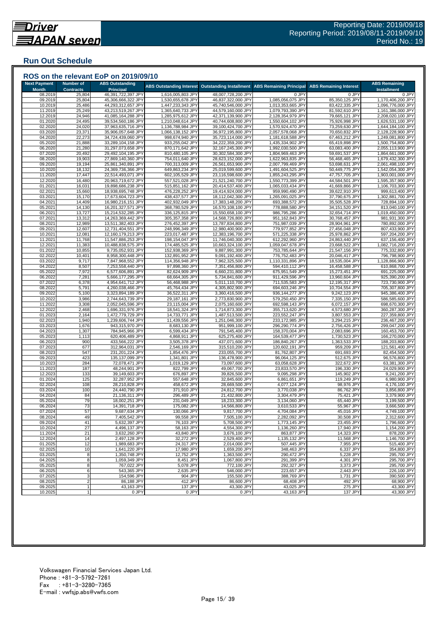## **Run Out Schedule**

|                         |                            | ROS on the relevant EoP on 2019/09/10    |                                        |                                          |                                        |                                  |                                        |
|-------------------------|----------------------------|------------------------------------------|----------------------------------------|------------------------------------------|----------------------------------------|----------------------------------|----------------------------------------|
| <b>Next Payment</b>     | <b>Number of</b>           | <b>ABS Outstanding</b>                   | <b>ABS Outstanding Interest</b>        | <b>Outstanding Installment</b>           | <b>ABS Remaining Principal</b>         | <b>ABS Remaining Interest</b>    | <b>ABS Remaining</b>                   |
| <b>Month</b><br>08.2019 | <b>Contracts</b><br>25,804 | <b>Principal</b><br>46,391,722,397 JPY   | 1,616,005,803 JPY                      | 48,007,728,200 JPY                       | 0 JPY                                  | 0 JPY                            | <b>Installment</b><br>0 JPY            |
| 09.2019                 | 25,804                     | 45,306,666,322 JPY                       | 1,530,655,678 JPY                      | 46,837,322,000 JPY                       | 1,085,056,075 JPY                      | 85,350,125 JPY                   | 1,170,406,200 JPY                      |
| 10.2019                 | 25,486                     | 44,293,312,657 JPY                       | 1,447,233,343 JPY                      | 45,740,546,000 JPY                       | 1,013,353,665 JPY                      | 83,422,335 JPY                   | 1,096,776,000 JPY                      |
| 11.2019                 | 25,249                     | 43,213,519,267 JPY                       | 1,365,640,733 JPY                      | 44,579,160,000 JPY                       | 1,079,793,390 JPY                      | 81,592,610 JPY                   | 1,161,386,000 JPY                      |
| 12.2019                 | 24,946                     | 41,085,164,288 JPY                       | 1,285,975,612 JPY                      | 42,371,139,900 JPY                       | 2,128,354,979 JPY                      | 79,665,121 JPY                   | 2,208,020,100 JPY                      |
| 01.2020                 | 24,495                     | 39,534,560,186 JPY                       | 1,210,048,614 JPY                      | 40,744,608,800 JPY                       | 1,550,604,102 JPY                      | 75,926,998 JPY                   | 1,626,531,100 JPY                      |
| 02.2020<br>03.2020      | 24,020<br>23,371           | 37,963,635,716 JPY<br>35,906,057,648 JPY | 1,136,788,984 JPY<br>1,066,138,152 JPY | 39,100,424,700 JPY<br>36,972,195,800 JPY | 1,570,924,470 JPY<br>2,057,578,068 JPY | 73,259,630 JPY<br>70,650,832 JPY | 1,644,184,100 JPY<br>2,128,228,900 JPY |
| 04.2020                 | 22,273                     | 34,724,439,060 JPY                       | 998,674,940 JPY                        | 35,723,114,000 JPY                       | 1,181,618,588 JPY                      | 67,463,212 JPY                   | 1,249,081,800 JPY                      |
| 05.2020                 | 21,888                     | 33,289,104,158 JPY                       | 933,255,042 JPY                        | 34,222,359,200 JPY                       | 1,435,334,902 JPY                      | 65,419,898 JPY                   | 1,500,754,800 JPY                      |
| 06.2020                 | 21,280                     | 31,297,073,658 JPY                       | 870,171,642 JPY                        | 32,167,245,300 JPY                       | 1,992,030,500 JPY                      | 63,083,400 JPY                   | 2,055,113,900 JPY                      |
| 07.2020                 | 20,492                     | 29,492,104,195 JPY                       | 810,480,105 JPY                        | 30,302,584,300 JPY                       | 1,804,969,463 JPY                      | 59,691,537 JPY                   | 1,864,661,000 JPY                      |
| 08.2020                 | 19,903                     | 27,869,140,360 JPY                       | 754,011,640 JPY                        | 28,623,152,000 JPY                       | 1,622,963,835 JPY                      | 56,468,465 JPY                   | 1,679,432,300 JPY                      |
| 09.2020<br>10.2020      | 19,194<br>18,132           | 25,861,340,891 JPY<br>24,369,736,366 JPY | 700,313,009 JPY<br>649,863,234 JPY     | 26,561,653,900 JPY<br>25,019,599,600 JPY | 2,007,799,469 JPY<br>1,491,604,525 JPY | 53,698,631 JPY<br>50,449,775 JPY | 2,061,498,100 JPY<br>1,542,054,300 JPY |
| 11.2020                 | 17,447                     | 22,514,493,071 JPY                       | 602,105,529 JPY                        | 23,116,598,600 JPY                       | 1,855,243,295 JPY                      | 47,757,705 JPY                   | 1,903,001,000 JPY                      |
| 12.2020                 | 16,480                     | 20,963,719,672 JPY                       | 557,521,028 JPY                        | 21,521,240,700 JPY                       | 1,550,773,399 JPY                      | 44,584,501 JPY                   | 1,595,357,900 JPY                      |
| 01.2021                 | 16,031                     | 19,898,686,238 JPY                       | 515,851,162 JPY                        | 20,414,537,400 JPY                       | 1,065,033,434 JPY                      | 41,669,866 JPY                   | 1,106,703,300 JPY                      |
| 02.2021                 | 15,660                     | 18,938,695,748 JPY                       | 476,228,252 JPY                        | 19,414,924,000 JPY                       | 959,990,490 JPY                        | 39,622,910 JPY                   | 999,613,400 JPY                        |
| 03.2021                 | 15,170                     | 17,673,604,723 JPY                       | 438,437,577 JPY                        | 18,112,042,300 JPY                       | 1,265,091,025 JPY                      | 37,790,675 JPY                   | 1,302,881,700 JPY                      |
| 04.2021                 | 14,409                     | 16,980,216,151 JPY                       | 402,932,049 JPY                        | 17,383,148,200 JPY                       | 693,388,572 JPY                        | 35,505,528 JPY                   | 728,894,100 JPY                        |
| 05.2021<br>06.2021      | 14,130<br>13,727           | 16,201,327,571 JPY<br>15,214,532,285 JPY | 368,780,529 JPY<br>336,125,815 JPY     | 16,570,108,100 JPY<br>15,550,658,100 JPY | 778,888,580 JPY<br>986,795,286 JPY     | 34,151,520 JPY<br>32,654,714 JPY | 813,040,100 JPY<br>1,019,450,000 JPY   |
| 07.2021                 | 13,312                     | 14,263,369,442 JPY                       | 305,357,358 JPY                        | 14,568,726,800 JPY                       | 951,162,843 JPY                        | 30,768,457 JPY                   | 981,931,300 JPY                        |
| 08.2021                 | 12,989                     | 13,511,382,403 JPY                       | 276,452,397 JPY                        | 13,787,834,800 JPY                       | 751,987,039 JPY                        | 28,904,961 JPY                   | 780,892,000 JPY                        |
| 09.2021                 | 12,607                     | 12,731,404,551 JPY                       | 248,996,349 JPY                        | 12,980,400,900 JPY                       | 779,977,852 JPY                        | 27,456,048 JPY                   | 807,433,900 JPY                        |
| 10.2021                 | 12,081                     | 12,160,179,213 JPY                       | 223,017,487 JPY                        | 12,383,196,700 JPY                       | 571,225,338 JPY                        | 25,978,862 JPY                   | 597,204,200 JPY                        |
| 11.2021                 | 11,768                     | 11,547,886,253 JPY                       | 198,154,047 JPY                        | 11,746,040,300 JPY                       | 612,292,960 JPY                        | 24,863,440 JPY                   | 637,156,400 JPY                        |
| 12.2021<br>01.2022      | 11,383<br>10,855           | 10,488,838,575 JPY<br>9,735,052,931 JPY  | 174,485,525 JPY<br>152,938,369 JPY     | 10,663,324,100 JPY<br>9,887,991,300 JPY  | 1,059,047,678 JPY<br>753,785,644 JPY   | 23,668,522 JPY<br>21,547,156 JPY | 1,082,716,200 JPY<br>775,332,800 JPY   |
| 02.2022                 | 10,401                     | 8,958,300,448 JPY                        | 132,891,952 JPY                        | 9,091,192,400 JPY                        | 776,752,483 JPY                        | 20,046,417 JPY                   | 796,798,900 JPY                        |
| 03.2022                 | 9,717                      | 7,847,968,552 JPY                        | 114,356,948 JPY                        | 7,962,325,500 JPY                        | 1,110,331,896 JPY                      | 18,535,004 JPY                   | 1,128,866,900 JPY                      |
| 04.2022                 | 8,507                      | 7,253,558,440 JPY                        | 97,898,360 JPY                         | 7,351,456,800 JPY                        | 594,410,112 JPY                        | 16,458,588 JPY                   | 610,868,700 JPY                        |
| 05.2022                 | 7,972                      | 6,577,606,891 JPY                        | 82,624,909 JPY                         | 6,660,231,800 JPY                        | 675,951,549 JPY                        | 15,273,451 JPY                   | 691,225,000 JPY                        |
| 06.2022                 | 7,281                      | 5,666,177,295 JPY                        | 68,664,305 JPY                         | 5,734,841,600 JPY                        | 911,429,596 JPY                        | 13,960,604 JPY                   | 925,390,200 JPY                        |
| 07.2022                 | 6,378                      | 4,954,641,712 JPY                        | 56,468,988 JPY                         | 5.011.110.700 JPY                        | 711,535,583 JPY                        | 12,195,317 JPY                   | 723,730,900 JPY                        |
| 08.2022<br>09.2022      | 5,791<br>5,100             | 4,260,038,466 JPY<br>3,323,894,189 JPY   | 45,764,434 JPY<br>36,522,311 JPY       | 4,305,802,900 JPY<br>3,360,416,500 JPY   | 694,603,246 JPY<br>936,144,277 JPY     | 10,704,554 JPY<br>9,242,123 JPY  | 705,307,800 JPY<br>945,386,400 JPY     |
| 10.2022                 | 3,986                      | 2,744,643,739 JPY                        | 29,187,161 JPY                         | 2,773,830,900 JPY                        | 579,250,450 JPY                        | 7,335,150 JPY                    | 586,585,600 JPY                        |
| 11.2022                 | 3,308                      | 2,052,045,596 JPY                        | 23,115,004 JPY                         | 2,075,160,600 JPY                        | 692,598,143 JPY                        | 6,072,157 JPY                    | 698,670,300 JPY                        |
| 12.2022                 | 2,468                      | 1,696,331,976 JPY                        | 18,541,324 JPY                         | 1,714,873,300 JPY                        | 355,713,620 JPY                        | 4,573,680 JPY                    | 360,287,300 JPY                        |
| 01.2023                 | 2,164                      | 1,472,779,729 JPY                        | 14,733,771 JPY                         | 1,487,513,500 JPY                        | 223,552,247 JPY                        | 3,807,553 JPY                    | 227,359,800 JPY                        |
| 02.2023                 | 1,940                      | 1,239,606,744 JPY                        | 11,439,556 JPY                         | 1,251,046,300 JPY<br>951,999,100 JPY     | 233,172,985 JPY<br>296,290,774 JPY     | 3,294,215 JPY                    | 236,467,200 JPY                        |
| 03.2023<br>04.2023      | 1,676<br>1,307             | 943,315,970 JPY<br>784,945,966 JPY       | 8,683,130 JPY<br>6,599,434 JPY         | 791,545,400 JPY                          | 158,370,004 JPY                        | 2,756,426 JPY<br>2,083,696 JPY   | 299,047,200 JPY<br>160,453,700 JPY     |
| 05.2023                 | 1,113                      | 620,406,489 JPY                          | 4,868,911 JPY                          | 625,275,400 JPY                          | 164,539,477 JPY                        | 1,730,523 JPY                    | 166,270,000 JPY                        |
| 06.2023                 | 900                        | 433,566,222 JPY                          | 3,505,378 JPY                          | 437,071,600 JPY                          | 186,840,267 JPY                        | 1,363,533 JPY                    | 188,203,800 JPY                        |
| 07.2023                 | 677                        | 312,964,031 JPY                          | 2,546,169 JPY                          | 315,510,200 JPY                          | 120,602,191 JPY                        | 959,209 JPY                      | 121,561,400 JPY                        |
| 08.2023                 | 547                        | 231,201,224 JPY                          | 1,854,476 JPY                          | 233,055,700 JPY                          | 81,762,807 JPY                         | 691,693 JPY                      | 82,454,500 JPY                         |
| 09.2023                 | 423<br>284                 | 135,137,099 JPY                          | 1,341,801 JPY                          | 136,478,900 JPY                          | 96,064,125 JPY<br>63,058,628 JPY       | 512,675 JPY                      | 96,576,800 JPY                         |
| 10.2023<br>11.2023      | 187                        | 72,078,471 JPY<br>48,244,901 JPY         | 1,019,129 JPY<br>822,799 JPY           | 73,097,600 JPY<br>49,067,700 JPY         | 23,833,570 JPY                         | 322,672 JPY<br>196,330 JPY       | 63,381,300 JPY<br>24,029,900 JPY       |
| 12.2023                 | 133                        | 39,149,603 JPY                           | 676,897 JPY                            | 39,826,500 JPY                           | 9,095,298 JPY                          | 145,902 JPY                      | 9,241,200 JPY                          |
| 01.2024                 | 125                        | 32,287,952 JPY                           | 557,648 JPY                            | 32,845,600 JPY                           | 6,861,651 JPY                          | 119,249 JPY                      | 6,980,900 JPY                          |
| 02.2024                 | 108                        | 28,210,828 JPY                           | 458,672 JPY                            | 28,669,500 JPY                           | 4,077,124 JPY                          | 98,976 JPY                       | 4,176,100 JPY                          |
| 03.2024                 | 100                        | 24,440,790 JPY                           | 371,910 JPY                            | 24,812,700 JPY                           | 3,770,038 JPY                          | 86,762 JPY                       | 3,856,800 JPY                          |
| 04.2024                 | 84                         | 21,136,311 JPY                           | 296,489 JPY                            | 21,432,800 JPY                           | 3,304,479 JPY                          | 75,421 JPY                       | 3,379,900 JPY                          |
| 05.2024                 | 79                         | 18,002,251 JPY                           | 231,049 JPY                            | 18,233,300 JPY                           | 3,134,060 JPY                          | 65,440 JPY                       | 3,199,500 JPY                          |
| 06.2024<br>07.2024      | 73<br>57                   | 14,391,718 JPY<br>9,687,634 JPY          | 175,082 JPY<br>130,066 JPY             | 14,566,800 JPY<br>9,817,700 JPY          | 3,610,533 JPY<br>4,704,084 JPY         | 55,967 JPY<br>45,016 JPY         | 3,666,500 JPY<br>4,749,100 JPY         |
| 08.2024                 | 49                         | 7.405.542 JPY                            | 99,558 JPY                             | 7,505,100 JPY                            | 2,282,092 JPY                          | 30,508 JPY                       | 2,312,600 JPY                          |
| 09.2024                 | 41                         | 5,632,397 JPY                            | 76,103 JPY                             | 5,708,500 JPY                            | 1,773,145 JPY                          | 23,455 JPY                       | 1,796,600 JPY                          |
| 10.2024                 | 27                         | 4,496,137 JPY                            | 58,163 JPY                             | 4,554,300 JPY                            | 1,136,260 JPY                          | 17,940 JPY                       | 1,154,200 JPY                          |
| 11.2024                 | 21                         | 3,632,260 JPY                            | 43,840 JPY                             | 3,676,100 JPY                            | 863,877 JPY                            | 14,323 JPY                       | 878,200 JPY                            |
| 12.2024                 | 14                         | 2,497,128 JPY                            | 32,272 JPY                             | 2,529,400 JPY                            | 1,135,132 JPY                          | 11,568 JPY                       | 1,146,700 JPY                          |
| 01.2025<br>02.2025      | 12                         | 1,989,683 JPY                            | 24,317 JPY<br>17,980 JPY               | 2,014,000 JPY<br>1,659,200 JPY           | 507,445 JPY<br>348,463 JPY             | 7,955 JPY<br>6,337 JPY           | 515,400 JPY<br>354,800 JPY             |
| 03.2025                 | 10<br>8                    | 1,641,220 JPY<br>1,350,748 JPY           | 12,752 JPY                             | 1,363,500 JPY                            | 290,472 JPY                            | 5,228 JPY                        | 295,700 JPY                            |
| 04.2025                 | 8                          | 1,059,349 JPY                            | 8,451 JPY                              | 1,067,800 JPY                            | 291,399 JPY                            | 4,301 JPY                        | 295,700 JPY                            |
| 05.2025                 | 8                          | 767,022 JPY                              | 5,078 JPY                              | 772,100 JPY                              | 292,327 JPY                            | 3,373 JPY                        | 295,700 JPY                            |
| 06.2025                 | 6                          | 543,365 JPY                              | 2,635 JPY                              | 546,000 JPY                              | 223,657 JPY                            | 2,443 JPY                        | 226,100 JPY                            |
| 07.2025                 |                            | 154,596 JPY                              | 904 JPY                                | 155,500 JPY                              | 388,769 JPY                            | 1,731 JPY                        | 390,500 JPY                            |
| 08.2025                 |                            | 86,188 JPY                               | 412 JPY                                | 86,600 JPY                               | 68,408 JPY                             | 492 JPY                          | 68,900 JPY                             |
| 09.2025                 |                            | 43,163 JPY                               | 137 JPY                                | 43,300 JPY<br>0 JPY                      | 43,025 JPY                             | 275 JPY                          | 43,300 JPY                             |
| 10.2025                 |                            | 0 JPY                                    | 0 JPY                                  |                                          | 43,163 JPY                             | 137 JPY                          | 43,300 JPY                             |

###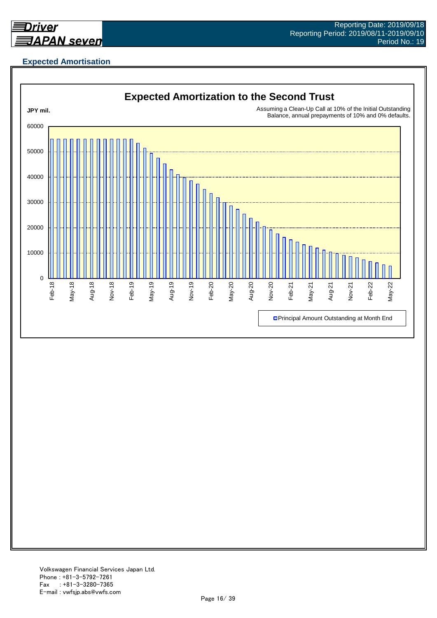

## **Expected Amortisation**

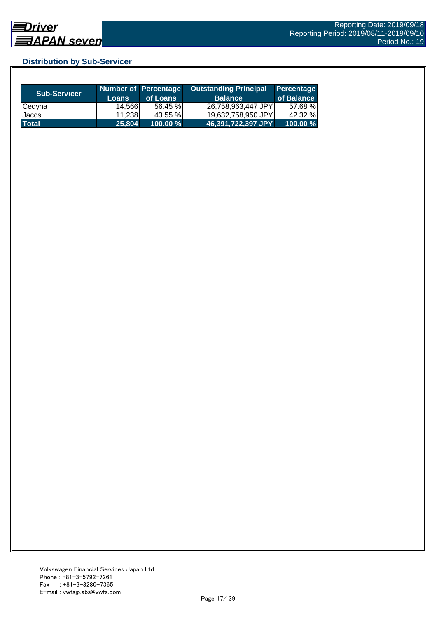## **Distribution by Sub-Servicer**

| <b>Sub-Servicer</b> | <b>Loans</b> | Number of Percentage<br>of Loans | <b>Outstanding Principal</b><br><b>Balance</b> | Percentage<br>of Balance |
|---------------------|--------------|----------------------------------|------------------------------------------------|--------------------------|
| Cedyna              | 14.566       | 56.45 %                          | 26,758,963,447 JPY                             | 57.68 %                  |
| Jaccs               | 11.238       | 43.55 %                          | 19,632,758,950 JPY                             | 42.32 %                  |
| <b>Total</b>        | 25,804       | $100.00 \%$                      | 46,391,722,397 JPY                             | 100.00 %                 |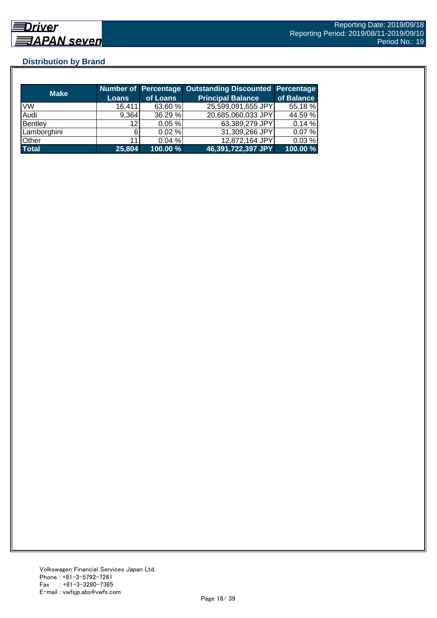## **Distribution by Brand**

|              |        |           | Number of Percentage Outstanding Discounted Percentage |            |
|--------------|--------|-----------|--------------------------------------------------------|------------|
| <b>Make</b>  | Loans  | of Loans  | <b>Principal Balance</b>                               | of Balance |
| <b>VW</b>    | 16,411 | 63.60 %   | 25,599,091,655 JPY                                     | 55.18 %    |
| Audi         | 9,364  | 36.29 %   | 20,685,060,033 JPY                                     | 44.59 %    |
| Bentley      | 12     | 0.05%     | 63,389,279 JPY                                         | 0.14%      |
| Lamborghini  |        | $0.02 \%$ | 31,309,266 JPY                                         | 0.07%      |
| Other        | 11     | 0.04%     | 12,872,164 JPY                                         | 0.03%      |
| <b>Total</b> | 25,804 | 100.00 %  | 46,391,722,397 JPY                                     | 100.00 %   |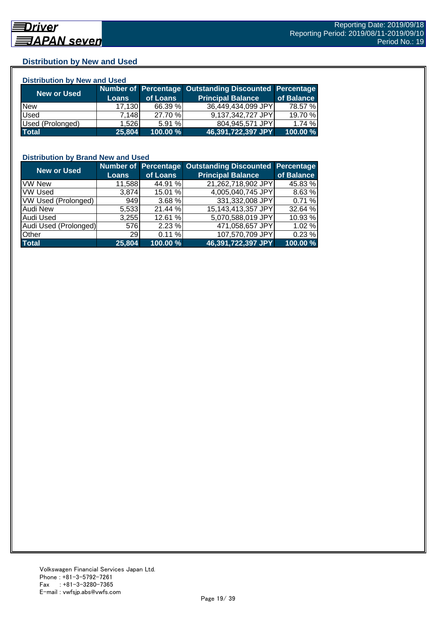## **Distribution by New and Used**

| <b>Distribution by New and Used</b> |              |          |                                                               |            |  |  |
|-------------------------------------|--------------|----------|---------------------------------------------------------------|------------|--|--|
|                                     |              |          | <b>Number of Percentage Outstanding Discounted Percentage</b> |            |  |  |
| <b>New or Used</b>                  | <b>Loans</b> | of Loans | <b>Principal Balance</b>                                      | of Balance |  |  |
| <b>New</b>                          | 17,130       | 66.39 %  | 36,449,434,099 JPY                                            | 78.57 %    |  |  |
| Used                                | 7.148        | 27.70 %  | 9,137,342,727 JPY                                             | 19.70 %    |  |  |
| Used (Prolonged)                    | 1.526        | 5.91%    | 804,945,571 JPY                                               | 1.74%      |  |  |
| <b>Total</b>                        | 25,804       | 100.00 % | 46,391,722,397 JPY                                            | 100.00 %   |  |  |

#### **Distribution by Brand New and Used**

| <b>New or Used</b>         |              |          | Number of Percentage Outstanding Discounted | Percentage |
|----------------------------|--------------|----------|---------------------------------------------|------------|
|                            | <b>Loans</b> | of Loans | <b>Principal Balance</b>                    | of Balance |
| <b>VW New</b>              | 11,588       | 44.91 %  | 21,262,718,902 JPY                          | 45.83 %    |
| <b>VW Used</b>             | 3,874        | 15.01 %  | 4,005,040,745 JPY                           | 8.63 %     |
| <b>VW Used (Prolonged)</b> | 949          | 3.68 %   | 331,332,008 JPY                             | 0.71%      |
| <b>Audi New</b>            | 5,533        | 21.44 %  | 15,143,413,357 JPY                          | 32.64 %    |
| Audi Used                  | 3,255        | 12.61 %  | 5,070,588,019 JPY                           | 10.93 %    |
| Audi Used (Prolonged)      | 576          | 2.23%    | 471,058,657 JPY                             | 1.02 %     |
| <b>Other</b>               | <b>29</b>    | 0.11%    | 107,570,709 JPY                             | 0.23 %     |
| <b>Total</b>               | 25,804       | 100.00 % | 46,391,722,397 JPY                          | 100.00 %   |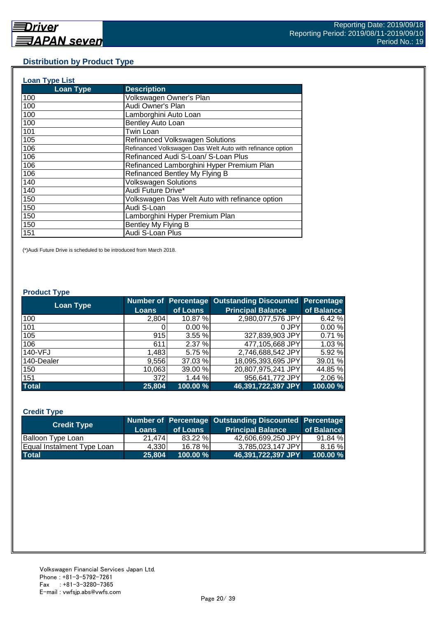#### **Distribution by Product Type**

| <b>Loan Type List</b> |                                                           |
|-----------------------|-----------------------------------------------------------|
| <b>Loan Type</b>      | <b>Description</b>                                        |
| 100                   | Volkswagen Owner's Plan                                   |
| 100                   | Audi Owner's Plan                                         |
| 100                   | Lamborghini Auto Loan                                     |
| 100                   | Bentley Auto Loan                                         |
| 101                   | Twin Loan                                                 |
| 105                   | <b>Refinanced Volkswagen Solutions</b>                    |
| 106                   | Refinanced Volkswagen Das Welt Auto with refinance option |
| 106                   | Refinanced Audi S-Loan/ S-Loan Plus                       |
| 106                   | Refinanced Lamborghini Hyper Premium Plan                 |
| 106                   | Refinanced Bentley My Flying B                            |
| 140                   | <b>Volkswagen Solutions</b>                               |
| 140                   | Audi Future Drive*                                        |
| 150                   | Volkswagen Das Welt Auto with refinance option            |
| 150                   | Audi S-Loan                                               |
| 150                   | Lamborghini Hyper Premium Plan                            |
| 150                   | Bentley My Flying B                                       |
| 151                   | Audi S-Loan Plus                                          |

(\*)Audi Future Drive is scheduled to be introduced from March 2018.

#### **Product Type**

| <b>Loan Type</b> |              |          | <b>Number of Percentage Outstanding Discounted</b> | <b>Percentage</b> |
|------------------|--------------|----------|----------------------------------------------------|-------------------|
|                  | <b>Loans</b> | of Loans | <b>Principal Balance</b>                           | of Balance        |
| 100              | 2,804        | 10.87 %  | 2,980,077,576 JPY                                  | 6.42 %            |
| 101              |              | 0.00%    | 0 JPY                                              | 0.00%             |
| 105              | 915          | 3.55%    | 327,839,903 JPY                                    | 0.71%             |
| 106              | 611          | 2.37%    | 477,105,668 JPY                                    | 1.03 %            |
| 140-VFJ          | 1,483        | 5.75 %   | 2,746,688,542 JPY                                  | 5.92 %            |
| 140-Dealer       | 9,556        | 37.03 %  | 18,095,393,695 JPY                                 | 39.01 %           |
| 150              | 10,063       | 39.00 %  | 20,807,975,241 JPY                                 | 44.85 %           |
| 151              | 372          | 1.44%    | 956,641,772 JPY                                    | 2.06 %            |
| <b>Total</b>     | 25,804       | 100.00 % | 46,391,722,397 JPY                                 | 100.00 %          |

#### **Credit Type**

| <b>Credit Type</b>         |        |             | Number of Percentage Outstanding Discounted Percentage |            |
|----------------------------|--------|-------------|--------------------------------------------------------|------------|
|                            | Loans  | of Loans    | <b>Principal Balance</b>                               | of Balance |
| <b>Balloon Type Loan</b>   | 21,474 | 83.22 %     | 42.606.699.250 JPYI                                    | 91.84 %    |
| Equal Instalment Type Loan | 4.330  | 16.78 %     | 3.785.023.147 JPYL                                     | 8.16 %     |
| <b>Total</b>               | 25.804 | $100.00 \%$ | 46,391,722,397 JPY                                     | 100.00 %   |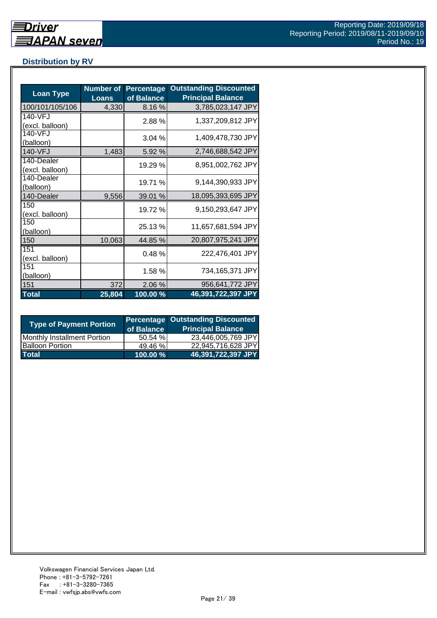## **Distribution by RV**

| <b>Loan Type</b>              | <b>Number of</b><br><b>Loans</b> | <b>Percentage</b><br>of Balance | <b>Outstanding Discounted</b><br><b>Principal Balance</b> |
|-------------------------------|----------------------------------|---------------------------------|-----------------------------------------------------------|
| 100/101/105/106               | 4,330                            | 8.16%                           | 3,785,023,147 JPY                                         |
| 140-VFJ<br>(excl. balloon)    |                                  | 2.88%                           | 1,337,209,812 JPY                                         |
| 140-VFJ<br>(balloon)          |                                  | 3.04%                           | 1,409,478,730 JPY                                         |
| 140-VFJ                       | 1,483                            | 5.92 %                          | 2,746,688,542 JPY                                         |
| 140-Dealer<br>(excl. balloon) |                                  | 19.29 %                         | 8,951,002,762 JPY                                         |
| 140-Dealer<br>(balloon)       |                                  | 19.71 %                         | 9,144,390,933 JPY                                         |
| 140-Dealer                    | 9,556                            | 39.01 %                         | 18,095,393,695 JPY                                        |
| 150<br>(excl. balloon)        |                                  | 19.72 %                         | 9,150,293,647 JPY                                         |
| 150<br>(balloon)              |                                  | 25.13 %                         | 11,657,681,594 JPY                                        |
| 150                           | 10,063                           | 44.85 %                         | 20,807,975,241 JPY                                        |
| 151<br>(excl. balloon)        |                                  | 0.48%                           | 222,476,401 JPY                                           |
| 151<br>(balloon)              |                                  | 1.58%                           | 734,165,371 JPY                                           |
| 151                           | 372                              | 2.06 %                          | 956,641,772 JPY                                           |
| <b>Total</b>                  | 25,804                           | 100.00%                         | 46,391,722,397 JPY                                        |

| <b>Type of Payment Portion</b> | of Balance | <b>Percentage Outstanding Discounted</b><br><b>Principal Balance</b> |
|--------------------------------|------------|----------------------------------------------------------------------|
| Monthly Installment Portion    | 50.54%     | 23,446,005,769 JPY                                                   |
| <b>Balloon Portion</b>         | 49.46 %    | 22.945.716.628 JPY                                                   |
| <b>Total</b>                   | 100.00 %   | 46,391,722,397 JPY                                                   |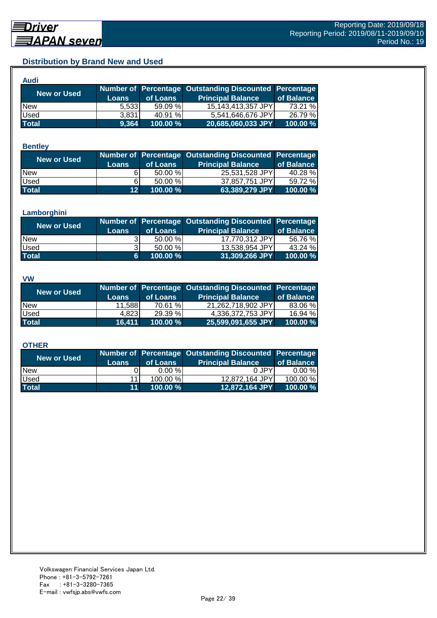## **Distribution by Brand New and Used**

| <b>Audi</b>  |              |          |                                                        |            |
|--------------|--------------|----------|--------------------------------------------------------|------------|
|              |              |          | Number of Percentage Outstanding Discounted Percentage |            |
| New or Used  | <b>Loans</b> | of Loans | <b>Principal Balance</b>                               | of Balance |
| <b>New</b>   | 5.533        | 59.09 %  | 15,143,413,357 JPY                                     | 73.21 %    |
| Used         | 3.831        | 40.91 %  | 5,541,646,676 JPY                                      | 26.79 %    |
| <b>Total</b> | 9,364        | 100.00%  | 20,685,060,033 JPY                                     | 100.00 %   |

#### **Bentley**

| <b>New or Used</b> |                 |           | Number of Percentage Outstanding Discounted Percentage |            |
|--------------------|-----------------|-----------|--------------------------------------------------------|------------|
|                    | <b>Loans</b>    | of Loans  | <b>Principal Balance</b>                               | of Balance |
| <b>New</b>         |                 | $50.00\%$ | 25,531,528 JPY                                         | 40.28 %    |
| Used               | 61              | $50.00\%$ | 37,857,751 JPY                                         | 59.72 %    |
| <b>Total</b>       | 12 <sup>1</sup> | 100.00 %  | 63,389,279 JPY                                         | 100.00 %   |

#### **Lamborghini**

| <b>New or Used</b> |              |            | Number of Percentage Outstanding Discounted Percentage |            |
|--------------------|--------------|------------|--------------------------------------------------------|------------|
|                    | <b>Loans</b> | of Loans   | <b>Principal Balance</b>                               | of Balance |
| <b>New</b>         |              | $50.00 \%$ | 17,770,312 JPY                                         | 56.76 %    |
| <b>Used</b>        |              | 50.00 %    | 13,538,954 JPY                                         | 43.24 %    |
| <b>Total</b>       | 6.           | 100.00 %   | 31,309,266 JPY                                         | 100.00 %   |

#### **VW**

| <b>New or Used</b> |              |          | Number of Percentage Outstanding Discounted Percentage |            |
|--------------------|--------------|----------|--------------------------------------------------------|------------|
|                    | <b>Loans</b> | of Loans | <b>Principal Balance</b>                               | of Balance |
| <b>New</b>         | 11,588       | 70.61 %  | 21.262.718.902 JPYI                                    | 83.06 %    |
| <b>Used</b>        | 4.823        | 29.39 %  | 4,336,372,753 JPY                                      | 16.94 %    |
| <b>Total</b>       | 16.411       | 100.00 % | 25,599,091,655 JPY                                     | 100.00 %   |

#### **OTHER**

| <b>New or Used</b> | <b>Loans</b>    | of Loans | Number of Percentage Outstanding Discounted Percentage<br><b>Principal Balance</b> | of Balance |
|--------------------|-----------------|----------|------------------------------------------------------------------------------------|------------|
| <b>New</b>         |                 | 0.00%    | 0 JPY                                                                              | $0.00 \%$  |
| Used               | 11              | 100.00 % | 12,872,164 JPY                                                                     | 100.00 %   |
| <b>Total</b>       | 11 <sup>1</sup> | 100.00 % | 12,872,164 JPY                                                                     | 100.00 %   |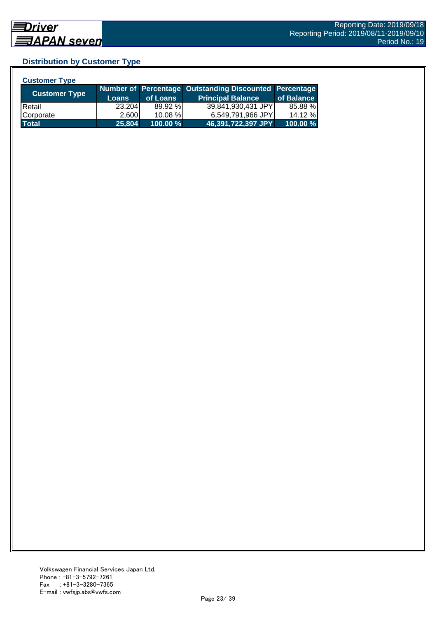## **Distribution by Customer Type**

| <b>Customer Type</b> |              |          |                                                        |            |
|----------------------|--------------|----------|--------------------------------------------------------|------------|
|                      |              |          | Number of Percentage Outstanding Discounted Percentage |            |
| Customer Type        | <b>Loans</b> | of Loans | <b>Principal Balance</b>                               | of Balance |
| <b>IRetail</b>       | 23,204       | 89.92 %  | 39,841,930,431 JPY                                     | 85.88 %    |
| Corporate            | 2.600        | 10.08 %  | 6,549,791,966 JPY                                      | 14.12 %    |
| <b>Total</b>         | 25,804       | 100.00 % | 46,391,722,397 JPY                                     | 100.00 %   |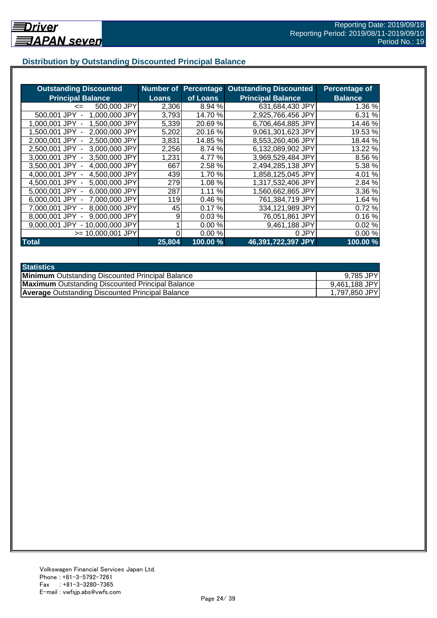## **Distribution by Outstanding Discounted Principal Balance**

| <b>Outstanding Discounted</b>     | <b>Number of</b> | <b>Percentage</b> | <b>Outstanding Discounted</b> | Percentage of  |
|-----------------------------------|------------------|-------------------|-------------------------------|----------------|
| <b>Principal Balance</b>          | <b>Loans</b>     | of Loans          | <b>Principal Balance</b>      | <b>Balance</b> |
| 500,000 JPY<br>$\leq$             | 2,306            | 8.94 %            | 631,684,430 JPY               | 1.36 %         |
| 500,001 JPY<br>1,000,000 JPY      | 3,793            | 14.70 %           | 2,925,766,456 JPY             | 6.31 %         |
| 1.500.000 JPY<br>1.000.001 JPY -  | 5,339            | 20.69%            | 6,706,464,885 JPY             | 14.46 %        |
| 2,000,000 JPY<br>1.500.001 JPY -  | 5,202            | 20.16%            | 9.061,301,623 JPY             | 19.53 %        |
| 2,500,000 JPY<br>2.000.001 JPY -  | 3,831            | 14.85 %           | 8,553,260,406 JPY             | 18.44 %        |
| 2.500.001 JPY -<br>3,000,000 JPY  | 2,256            | 8.74 %            | 6,132,089,902 JPY             | 13.22 %        |
| 3,000,001 JPY -<br>3,500,000 JPY  | 1,231            | 4.77 %            | 3,969,529,484 JPY             | 8.56 %         |
| 4,000,000 JPY<br>3,500,001 JPY -  | 667              | 2.58 %            | 2,494,285,138 JPY             | 5.38 %         |
| 4,500,000 JPY<br>4,000,001 JPY -  | 439              | 1.70 %            | 1,858,125,045 JPY             | 4.01 %         |
| 5,000,000 JPY<br>4,500,001 JPY -  | 279              | 1.08%             | 1,317,532,406 JPY             | 2.84 %         |
| 6,000,000 JPY<br>5,000,001 JPY -  | 287              | 1.11%             | 1,560,662,865 JPY             | 3.36 %         |
| 6,000,001 JPY -<br>7,000,000 JPY  | 119              | 0.46%             | 761,384,719 JPY               | 1.64 %         |
| 8,000,000 JPY<br>7.000.001 JPY -  | 45               | 0.17%             | 334,121,989 JPY               | 0.72%          |
| 9,000,000 JPY<br>8,000,001 JPY    | 9                | 0.03%             | 76,051,861 JPY                | 0.16%          |
| - 10,000,000 JPY<br>9.000.001 JPY |                  | 0.00%             | 9,461,188 JPY                 | 0.02%          |
| $>= 10,000,001$ JPY               |                  | 0.00%             | 0 JPY                         | 0.00%          |
| <b>Total</b>                      | 25,804           | 100.00 %          | 46,391,722,397 JPY            | 100.00%        |

| <b>Statistics</b>                                       |               |
|---------------------------------------------------------|---------------|
| <b>Minimum</b> Outstanding Discounted Principal Balance | 9,785 JPY     |
| <b>Maximum</b> Outstanding Discounted Principal Balance | 9,461,188 JPY |
| <b>Average Outstanding Discounted Principal Balance</b> | 1,797,850 JPY |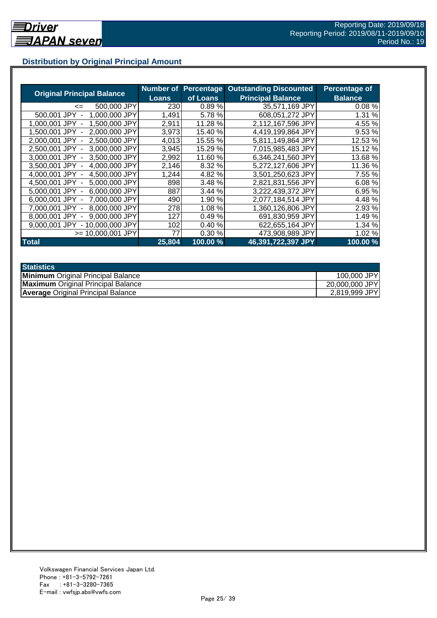## **Distribution by Original Principal Amount**

|                                           | Number of |          | <b>Percentage Outstanding Discounted</b> | <b>Percentage of</b> |
|-------------------------------------------|-----------|----------|------------------------------------------|----------------------|
| <b>Original Principal Balance</b>         | Loans     | of Loans | <b>Principal Balance</b>                 | <b>Balance</b>       |
| 500,000 JPY<br><=                         | 230       | 0.89%    | 35,571,169 JPY                           | 0.08%                |
| 1,000,000 JPY<br>500,001 JPY              | 1,491     | 5.78%    | 608,051,272 JPY                          | 1.31 %               |
| 1,500,000 JPY<br>1.000.001 JPY            | 2,911     | 11.28 %  | 2,112,167,596 JPY                        | 4.55 %               |
| 2.000.000 JPY<br>1.500.001 JPY            | 3,973     | 15.40 %  | 4,419,199,864 JPY                        | 9.53 %               |
| 2,500,000 JPY<br>2.000.001 JPY -          | 4,013     | 15.55 %  | 5,811,149,864 JPY                        | 12.53 %              |
| 2,500,001 JPY -<br>3,000,000 JPY          | 3,945     | 15.29 %  | 7,015,985,483 JPY                        | 15.12 %              |
| 3.000.001 JPY -<br>3.500,000 JPY          | 2,992     | 11.60 %  | 6,346,241,560 JPY                        | 13.68 %              |
| 3,500,001 JPY -<br>4,000,000 JPY          | 2,146     | 8.32 %   | 5,272,127,606 JPY                        | 11.36 %              |
| 4,500,000 JPY<br>4.000.001 JPY -          | 1,244     | 4.82 %   | 3,501,250,623 JPY                        | 7.55 %               |
| 4,500,001 JPY -<br>5,000,000 JPY          | 898       | 3.48 %   | 2,821,831,556 JPY                        | 6.08%                |
| 6,000,000 JPY<br>5.000.001 JPY -          | 887       | 3.44 %   | 3,222,439,372 JPY                        | 6.95 %               |
| 7,000,000 JPY<br>6.000.001 JPY -          | 490       | 1.90 %   | 2,077,184,514 JPY                        | 4.48%                |
| 8,000,000 JPY<br>7.000.001 JPY -          | 278       | 1.08%    | 1,360,126,806 JPY                        | 2.93 %               |
| 9,000,000 JPY<br>8.000.001 JPY            | 127       | 0.49%    | 691,830,959 JPY                          | 1.49%                |
| 9.000.001 JPY<br>10.000.000 JPY<br>$\sim$ | 102       | 0.40%    | 622,655,164 JPY                          | 1.34 %               |
| >= 10.000.001 JPY                         | 77        | 0.30%    | 473,908,989 JPY                          | 1.02%                |
| <b>Total</b>                              | 25,804    | 100.00 % | 46,391,722,397 JPY                       | 100.00%              |

| <b>Statistics</b>                         |                |
|-------------------------------------------|----------------|
| <b>Minimum</b> Original Principal Balance | 100,000 JPY    |
| <b>Maximum</b> Original Principal Balance | 20,000,000 JPY |
| <b>Average Original Principal Balance</b> | 2,819,999 JPY  |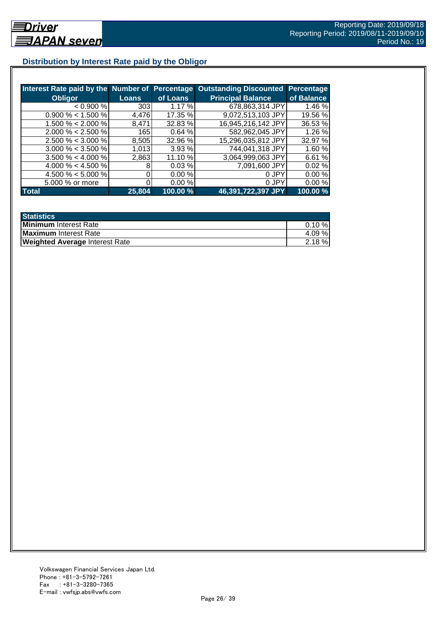## **Distribution by Interest Rate paid by the Obligor**

| Interest Rate paid by the Number of Percentage |              |          | <b>Outstanding Discounted</b> | <b>Percentage</b> |
|------------------------------------------------|--------------|----------|-------------------------------|-------------------|
| <b>Obligor</b>                                 | <b>Loans</b> | of Loans | <b>Principal Balance</b>      | of Balance        |
| < 0.900 %                                      | 303          | 1.17%    | 678,863,314 JPY               | 1.46 %            |
| $0.900\% < 1.500\%$                            | 4,476        | 17.35 %  | 9,072,513,103 JPY             | 19.56 %           |
| $1.500\% < 2.000\%$                            | 8.471        | 32.83 %  | 16,945,216,142 JPY            | 36.53 %           |
| $2.000\% < 2.500\%$                            | 165          | 0.64%    | 582,962,045 JPY               | 1.26 %            |
| $2.500\% < 3.000\%$                            | 8,505        | 32.96 %  | 15,296,035,812 JPY            | 32.97 %           |
| $3.000\% < 3.500\%$                            | 1,013        | 3.93%    | 744,041,318 JPY               | 1.60%             |
| $3.500\% < 4.000\%$                            | 2,863        | 11.10 %  | 3,064,999,063 JPY             | 6.61 %            |
| 4.000 % < 4.500 %                              |              | 0.03%    | 7,091,600 JPY                 | 0.02%             |
| 4.500 % < 5.000 %                              |              | 0.00%    | 0 JPY                         | 0.00%             |
| 5.000 % or more                                |              | 0.00%    | 0 JPY                         | 0.00%             |
| <b>Total</b>                                   | 25,804       | 100.00 % | 46,391,722,397 JPY            | 100.00 %          |

| <b>Statistics</b>                     |           |
|---------------------------------------|-----------|
| <b>Minimum</b> Interest Rate          | $0.10 \%$ |
| <b>Maximum</b> Interest Rate          | 4.09%     |
| <b>Weighted Average Interest Rate</b> | $2.18 \%$ |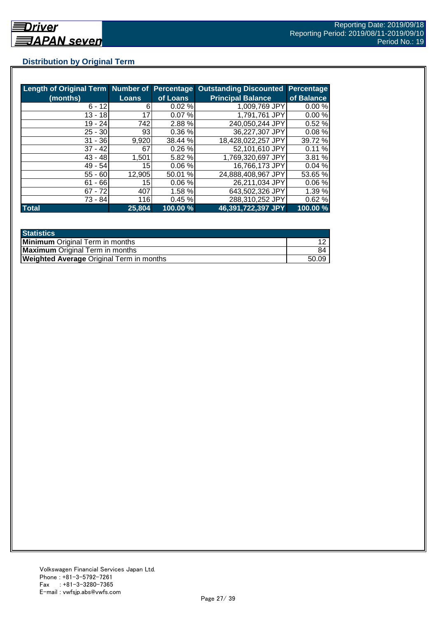## **Distribution by Original Term**

| Length of Original Term Number of Percentage |                 |          | <b>Outstanding Discounted</b> | <b>Percentage</b> |
|----------------------------------------------|-----------------|----------|-------------------------------|-------------------|
| (months)                                     | <b>Loans</b>    | of Loans | <b>Principal Balance</b>      | of Balance        |
| $6 - 12$                                     | 6               | 0.02%    | 1,009,769 JPY                 | 0.00%             |
| $13 - 18$                                    | 17              | 0.07%    | 1,791,761 JPY                 | 0.00%             |
| 19 - 24                                      | 742             | 2.88 %   | 240,050,244 JPY               | 0.52%             |
| $25 - 30$                                    | 93              | 0.36 %   | 36,227,307 JPY                | 0.08%             |
| $31 - 36$                                    | 9,920           | 38.44 %  | 18,428,022,257 JPY            | 39.72 %           |
| $37 - 42$                                    | 67              | 0.26%    | 52,101,610 JPY                | 0.11%             |
| $43 - 48$                                    | 1,501           | 5.82 %   | 1,769,320,697 JPY             | 3.81 %            |
| $49 - 54$                                    | 15 <sup>1</sup> | 0.06%    | 16,766,173 JPY                | 0.04%             |
| $55 - 60$                                    | 12,905          | 50.01 %  | 24,888,408,967 JPY            | 53.65 %           |
| $61 - 66$                                    | 15              | 0.06%    | 26,211,034 JPY                | 0.06%             |
| $67 - 72$                                    | 407             | 1.58 %   | 643,502,326 JPY               | 1.39 %            |
| 73 - 84                                      | 116             | 0.45%    | 288,310,252 JPY               | 0.62%             |
| <b>Total</b>                                 | 25,804          | 100.00 % | 46,391,722,397 JPY            | 100.00 %          |

| <b>Statistics</b>                               |       |
|-------------------------------------------------|-------|
| <b>Minimum</b> Original Term in months          |       |
| <b>Maximum</b> Original Term in months          | 84    |
| <b>Weighted Average Original Term in months</b> | 50.09 |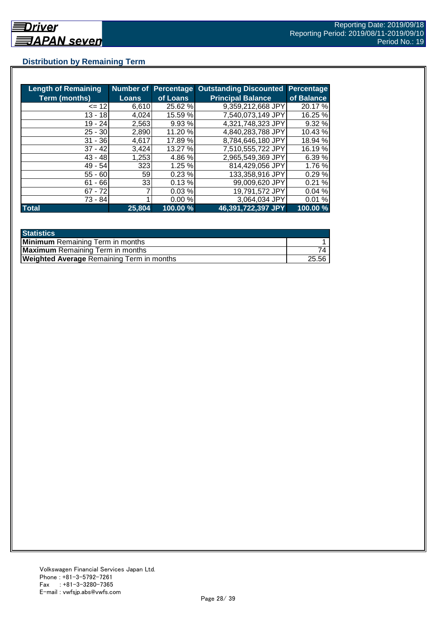## **Distribution by Remaining Term**

| <b>Length of Remaining</b> |              |          | <b>Number of Percentage Outstanding Discounted</b> | <b>Percentage</b> |
|----------------------------|--------------|----------|----------------------------------------------------|-------------------|
| <b>Term (months)</b>       | <b>Loans</b> | of Loans | <b>Principal Balance</b>                           | of Balance        |
| $= 12$                     | 6,610        | 25.62 %  | 9.359,212,668 JPY                                  | 20.17 %           |
| $13 - 18$                  | 4,024        | 15.59 %  | 7,540,073,149 JPY                                  | 16.25 %           |
| $19 - 24$                  | 2,563        | 9.93 %   | 4,321,748,323 JPY                                  | 9.32 %            |
| $25 - 30$                  | 2,890        | 11.20 %  | 4,840,283,788 JPY                                  | 10.43%            |
| $31 - 36$                  | 4,617        | 17.89 %  | 8,784,646,180 JPY                                  | 18.94 %           |
| $37 - 42$                  | 3,424        | 13.27 %  | 7,510,555,722 JPY                                  | 16.19 %           |
| $43 - 48$                  | 1,253        | 4.86 %   | 2,965,549,369 JPY                                  | 6.39 %            |
| 49 - 54                    | 323          | 1.25%    | 814,429,056 JPY                                    | 1.76 %            |
| $55 - 60$                  | 59           | 0.23%    | 133,358,916 JPY                                    | 0.29%             |
| $61 - 66$                  | 33           | 0.13%    | 99,009,620 JPY                                     | 0.21%             |
| $67 - 72$                  |              | 0.03%    | 19,791,572 JPY                                     | 0.04%             |
| 73 - 84                    |              | 0.00%    | 3,064,034 JPY                                      | 0.01%             |
| <b>Total</b>               | 25,804       | 100.00 % | 46,391,722,397 JPY                                 | 100.00 %          |

| <b>Statistics</b>                                |       |
|--------------------------------------------------|-------|
| <b>Minimum</b> Remaining Term in months          |       |
| <b>Maximum</b> Remaining Term in months          |       |
| <b>Weighted Average Remaining Term in months</b> | 25.56 |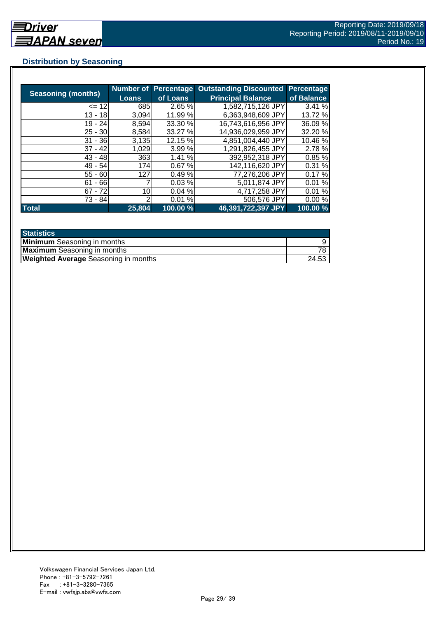## **Distribution by Seasoning**

|                           |                 |          | <b>Number of Percentage Outstanding Discounted</b> | <b>Percentage</b> |
|---------------------------|-----------------|----------|----------------------------------------------------|-------------------|
| <b>Seasoning (months)</b> | Loans           | of Loans | <b>Principal Balance</b>                           | of Balance        |
| $= 12$                    | 685             | 2.65 %   | 1,582,715,126 JPY                                  | 3.41 %            |
| $13 - 18$                 | 3,094           | 11.99 %  | 6.363,948,609 JPY                                  | 13.72 %           |
| 19 - 24                   | 8,594           | 33.30 %  | 16,743,616,956 JPY                                 | 36.09 %           |
| $25 - 30$                 | 8,584           | 33.27 %  | 14,936,029,959 JPY                                 | 32.20 %           |
| $31 - 36$                 | 3,135           | 12.15 %  | 4,851,004,440 JPY                                  | 10.46 %           |
| $37 - 42$                 | 1,029           | 3.99 %   | 1,291,826,455 JPY                                  | 2.78%             |
| $43 - 48$                 | 363             | 1.41%    | 392,952,318 JPY                                    | 0.85%             |
| $49 - 54$                 | 174             | 0.67%    | 142,116,620 JPY                                    | 0.31%             |
| $55 - 60$                 | 127             | 0.49%    | 77,276,206 JPY                                     | 0.17%             |
| $61 - 66$                 |                 | 0.03%    | 5,011,874 JPY                                      | 0.01%             |
| $67 - 72$                 | 10 <sub>l</sub> | 0.04%    | 4,717,258 JPY                                      | 0.01%             |
| 73 - 84                   | っ               | 0.01%    | 506,576 JPY                                        | 0.00%             |
| <b>Total</b>              | 25,804          | 100.00 % | 46,391,722,397 JPY                                 | 100.00 %          |

| <b>Statistics</b>                           |       |
|---------------------------------------------|-------|
| <b>Minimum</b> Seasoning in months          |       |
| <b>Maximum</b> Seasoning in months          |       |
| <b>Weighted Average</b> Seasoning in months | 24.53 |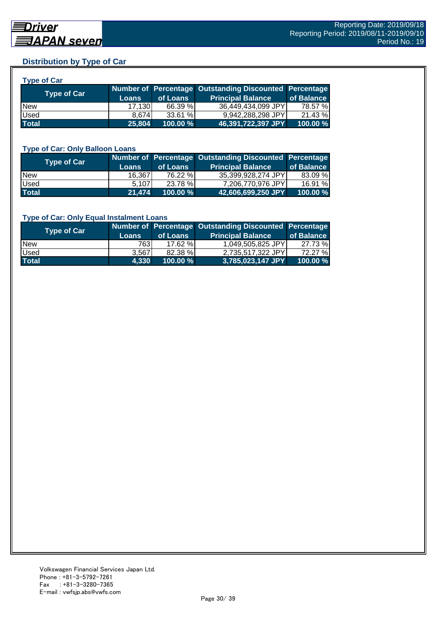## **Distribution by Type of Car**

| <b>Type of Car</b> |  |  |
|--------------------|--|--|
|                    |  |  |

| <b>Type of Car</b> | <b>Loans</b> | of Loans    | Number of Percentage Outstanding Discounted Percentage<br><b>Principal Balance</b> | of Balance |
|--------------------|--------------|-------------|------------------------------------------------------------------------------------|------------|
| <b>New</b>         | 17,130       | 66.39 %     | 36.449.434.099 JPY                                                                 | 78.57 %    |
| Used               | 8.674        | 33.61 %     | 9,942,288,298 JPY                                                                  | 21.43 %    |
| <b>Total</b>       | 25.804       | $100.00 \%$ | 46,391,722,397 JPY                                                                 | 100.00 %   |

#### **Type of Car: Only Balloon Loans**

| <b>Type of Car</b> | <b>Loans</b> | of Loans    | Number of Percentage Outstanding Discounted Percentage<br><b>Principal Balance</b> | of Balance |
|--------------------|--------------|-------------|------------------------------------------------------------------------------------|------------|
| <b>New</b>         | 16,367       | 76.22 %     | 35.399.928.274 JPYI                                                                | 83.09 %    |
| Used               | 5.107        | 23.78 %     | 7.206.770.976 JPYI                                                                 | 16.91 %    |
| <b>Total</b>       | 21,474       | $100.00 \%$ | 42,606,699,250 JPY                                                                 | 100.00%    |

#### **Type of Car: Only Equal Instalment Loans**

| <b>Type of Car</b> |              |             | Number of Percentage Outstanding Discounted Percentage |            |
|--------------------|--------------|-------------|--------------------------------------------------------|------------|
|                    | <b>Loans</b> | of Loans    | <b>Principal Balance</b>                               | of Balance |
| <b>New</b>         | 763I         | 17.62%      | 1,049,505,825 JPY                                      | 27.73 %    |
| Used               | 3.567        | 82.38 %     | 2.735.517.322 JPY                                      | 72.27 %    |
| <b>Total</b>       | 4.330        | $100.00 \%$ | $ 3,785,023,147$ JPY $ $                               | 100.00 %   |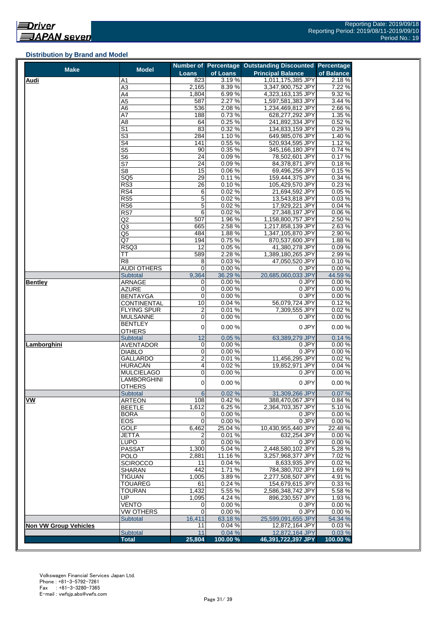#### **Distribution by Brand and Model**

| <b>Make</b>                  | <b>Model</b>                   |                                      |                  | Number of Percentage Outstanding Discounted Percentage |                  |
|------------------------------|--------------------------------|--------------------------------------|------------------|--------------------------------------------------------|------------------|
|                              |                                | <b>Loans</b>                         | of Loans         | <b>Principal Balance</b>                               | of Balance       |
| <b>Audi</b>                  | A1                             | 823                                  | 3.19%            | 1,011,175,385 JPY                                      | 2.18%            |
|                              | A3                             | 2,165                                | 8.39%            | 3,347,900,752 JPY                                      | 7.22 %           |
|                              | A4                             | 1,804                                | 6.99%            | 4,323,163,135 JPY                                      | 9.32 %           |
|                              | A5                             | 587                                  | 2.27%            | 1,597,581,383 JPY                                      | 3.44 %           |
|                              | A6                             | 536                                  | 2.08%            | 1,234,469,812 JPY                                      | 2.66%            |
|                              | A7                             | 188                                  | 0.73%            | 628,277,292 JPY                                        | 1.35 %           |
|                              | A8                             | 64                                   | 0.25%            | 241,892,334 JPY                                        | 0.52%            |
|                              | $\overline{\mathsf{S}^1}$      | 83                                   | 0.32%            | 134,833,159 JPY                                        | 0.29%            |
|                              | $\overline{\mathbb{S}^3}$      | 284                                  | 1.10%            | 649,985,076 JPY                                        | 1.40%            |
|                              | S4                             | 141                                  | 0.55%            | 520,934,595 JPY                                        | 1.12 %           |
|                              | S5                             | 90                                   | 0.35%            | 345,166,180 JPY                                        | 0.74 %           |
|                              | S6                             | 24                                   | 0.09%<br>0.09%   | 78,502,601 JPY                                         | 0.17%            |
|                              | S7                             | 24                                   |                  | 84,378,871 JPY                                         | 0.18%            |
|                              | S8                             | 15<br>29                             | 0.06%            | 69,496,256 JPY                                         | 0.15%            |
|                              | SQ5                            |                                      | 0.11%            | 159,444,375 JPY                                        | 0.34 %           |
|                              | RS3                            | 26                                   | 0.10%            | 105,429,570 JPY                                        | 0.23%            |
|                              | RS4                            | 6                                    | 0.02%            | 21,694,592 JPY                                         | 0.05%<br>0.03%   |
|                              | RS <sub>5</sub>                | 5                                    | 0.02%            | 13,543,818 JPY                                         |                  |
|                              | RS6<br>RS7                     | $\mathbf 5$                          | 0.02%            | 17,929,221 JPY                                         | 0.04%            |
|                              |                                | 6                                    | 0.02%            | 27,348,197 JPY                                         | 0.06%            |
|                              | Q2                             | 507                                  | 1.96%            | 1,158,800,757 JPY                                      | 2.50 %           |
|                              | Q3                             | 665                                  | 2.58%            | 1,217,858,139 JPY                                      | 2.63%            |
|                              | Q5<br>Q7                       | 484                                  | 1.88%            | 1,347,105,870 JPY                                      | 2.90%            |
|                              |                                | 194                                  | 0.75%            | 870,537,600 JPY                                        | 1.88%            |
|                              | RSQ3                           | 12                                   | 0.05%            | 41,380,278 JPY                                         | 0.09%            |
|                              | TT                             | 589                                  | 2.28%            | 1,389,180,265 JPY                                      | 2.99%            |
|                              | R <sub>8</sub>                 | 8                                    | 0.03%            | 47,050,520 JPY                                         | 0.10%            |
|                              | <b>AUDI OTHERS</b>             | 0                                    | 0.00%            | 0 JPY                                                  | 0.00%            |
|                              | Subtotal<br><b>ARNAGE</b>      | 9,364                                | 36.29 %<br>0.00% | 20,685,060,033 JPY<br>0 JPY                            | 44.59 %<br>0.00% |
| <b>Bentley</b>               |                                | 0<br>$\boldsymbol{0}$                |                  | 0 JPY                                                  |                  |
|                              | AZURE<br><b>BENTAYGA</b>       | $\overline{0}$                       | 0.00%<br>0.00%   | 0 JPY                                                  | 0.00%<br>0.00%   |
|                              | CONTINENTAL                    | 10                                   | 0.04%            | 56,079,724 JPY                                         | 0.12%            |
|                              |                                |                                      | 0.01%            |                                                        |                  |
|                              | FLYING SPUR<br><b>MULSANNE</b> | $\boldsymbol{2}$<br>$\boldsymbol{0}$ | 0.00%            | 7,309,555 JPY<br>0 JPY                                 | 0.02%<br>0.00%   |
|                              | <b>BENTLEY</b>                 |                                      |                  |                                                        |                  |
|                              | <b>OTHERS</b>                  | $\pmb{0}$                            | 0.00%            | 0 JPY                                                  | 0.00%            |
|                              | Subtotal                       | 12                                   | 0.05%            | 63,389,279 JPY                                         | 0.14%            |
| Lamborghini                  | <b>AVENTADOR</b>               | 0                                    | 0.00%            | 0 JPY                                                  | 0.00%            |
|                              | <b>DIABLO</b>                  | 0                                    | 0.00%            | 0 JPY                                                  | 0.00%            |
|                              | GALLARDO                       | $\overline{2}$                       | 0.01%            | 11,456,295 JPY                                         | 0.02%            |
|                              | <b>HURACÁN</b>                 | $\overline{\mathbf{4}}$              | 0.02%            | 19.852.971 JPY                                         | 0.04%            |
|                              | <b>MULCIELAGO</b>              | 0                                    | 0.00%            | 0 JPY                                                  | 0.00%            |
|                              | LAMBORGHINI                    |                                      |                  |                                                        |                  |
|                              | <b>OTHERS</b>                  | $\pmb{0}$                            | 0.00%            | 0 JPY                                                  | 0.00%            |
|                              | <b>Subtotal</b>                | 6                                    | 0.02%            | 31,309,266 JPY                                         | 0.07%            |
| <b>VW</b>                    | <b>ARTEON</b>                  | 108                                  | 0.42%            | 388,470,067 JPY                                        | 0.84%            |
|                              | <b>BEETLE</b>                  | 1,612                                | 6.25%            | 2,364,703,357 JPY                                      | 5.10%            |
|                              | <b>BORA</b>                    | 0                                    | 0.00%            | 0 JPY                                                  | 0.00%            |
|                              | EOS                            | 0                                    | 0.00%            | 0 JPY                                                  | $0.00\%$         |
|                              | <b>GOLF</b>                    | 6,462                                | 25.04 %          | 10,430,955,440 JPY                                     | 22.48 %          |
|                              | <b>JETTA</b>                   | 2                                    | 0.01%            | 632,254 JPY                                            | 0.00%            |
|                              | LUPO                           | $\Omega$                             | 0.00%            | 0 JPY                                                  | 0.00%            |
|                              | <b>PASSAT</b>                  | 1,300                                | 5.04 %           | 2,448,580,102 JPY                                      | 5.28%            |
|                              | POLO                           | 2,881                                | 11.16%           | 3,257,968,377 JPY                                      | 7.02 %           |
|                              | <b>SCIROCCO</b>                | 11                                   | 0.04%            | 8,633,935 JPY                                          | 0.02%            |
|                              | <b>SHARAN</b>                  | 442                                  | 1.71%            | 784,380,702 JPY                                        | 1.69%            |
|                              | <b>TIGUAN</b>                  | 1,005                                | 3.89%            | 2,277,508,507 JPY                                      | 4.91%            |
|                              | <b>TOUAREG</b>                 | 61                                   | 0.24%            | 154,679,615 JPY                                        | 0.33%            |
|                              | <b>TOURAN</b>                  | 1,432                                | 5.55 %           | 2,586,348,742 JPY                                      | 5.58 %           |
|                              | UP                             | 1,095                                | 4.24 %           | 896,230,557 JPY                                        | 1.93%            |
|                              | VENTO                          | 0                                    | 0.00%            | 0 JPY                                                  | 0.00%            |
|                              | VW OTHERS                      | 0                                    | 0.00%            | 0 JPY                                                  | 0.00%            |
|                              | Subtotal                       | 16,411                               | 63.18%           | 25,599,091,655 JPY                                     | 54.34 %          |
| <b>Non VW Group Vehicles</b> |                                | 11                                   | 0.04%            | 12,872,164 JPY                                         | 0.03%            |
|                              | Subtotal                       | 11                                   | 0.04%            | 12,872,164 JPY                                         | 0.03%            |
|                              | <b>Total</b>                   | 25,804                               | 100.00%          | 46,391,722,397 JPY                                     | 100.00 %         |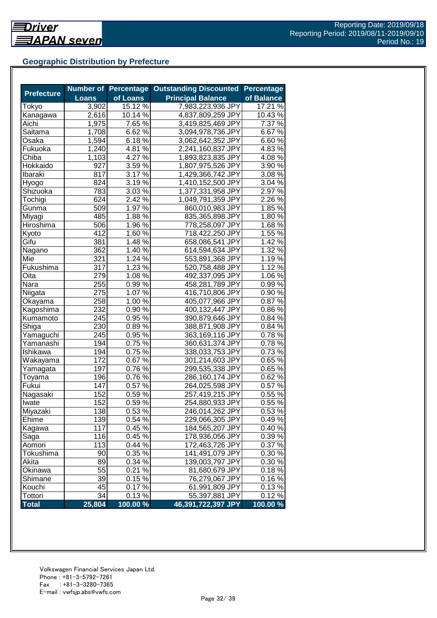## **Geographic Distribution by Prefecture**

|                   |              | <b>Number of Percentage</b> | <b>Outstanding Discounted</b> | <b>Percentage</b>   |
|-------------------|--------------|-----------------------------|-------------------------------|---------------------|
| <b>Prefecture</b> | <b>Loans</b> | of Loans                    | <b>Principal Balance</b>      | of Balance          |
| Tokyo             | 3,902        | 15.12 %                     | 7,983,223,936 JPY             | 17.21 %             |
| Kanagawa          | 2,616        | 10.14 %                     | 4,837,809,259 JPY             | 10.43%              |
| Aichi             | 1,975        | 7.65 %                      | 3,419,825,469 JPY             | $\overline{7.37}$ % |
| Saitama           | 1,708        | 6.62 %                      | 3,094,978,736 JPY             | 6.67%               |
| Osaka             | 1,594        | 6.18%                       | 3,062,642,352 JPY             | 6.60%               |
| Fukuoka           | 1,240        | 4.81 $\sqrt{2}$             | 2,241,160,837 JPY             | 4.83%               |
| Chiba             | 1,103        | 4.27%                       | 1,893,823,835 JPY             | 4.08%               |
| Hokkaido          | 927          | 3.59%                       | 1,807,975,526 JPY             | 3.90 %              |
| Ibaraki           | 817          | 3.17 %                      | 1,429,366,742 JPY             | 3.08%               |
| Hyogo             | 824          | $3.19\%$                    | 1,410,152,500 JPY             | 3.04 %              |
| Shizuoka          | 783          | $3.03\,\sqrt{6}$            | 1,377,331,958 JPY             | $2.97\%$            |
| Tochigi           | 624          | 2.42 %                      | 1,049,791,359 JPY             | 2.26 %              |
| Gunma             | 509          | 1.97 %                      | 860,010,983 JPY               | 1.85 %              |
| Miyagi            | 485          | 1.88%                       | 835,365,898 JPY               | 1.80%               |
| Hiroshima         | 506          | 1.96 %                      | 778,258,097 JPY               | 1.68%               |
| Kyoto             | 412          | 1.60 %                      | 718,422,250 JPY               | 1.55 %              |
| Gifu              | 381          | 1.48 %                      | 658,086,541 JPY               | 1.42 %              |
| Nagano            | 362          | 1.40 %                      | 614,594,634 JPY               | 1.32 %              |
| Mie               | 321          | 1.24 %                      | 553,891,368 JPY               | 1.19%               |
| Fukushima         | 317          | $1.23\%$                    | 520,758,488 JPY               | 1.12%               |
| Oita              | 279          | $1.08\%$                    | 492,337,095 JPY               | 1.06 %              |
| Nara              | 255          | $0.99\sqrt{2}$              | 458,281,789 JPY               | $0.99\%$            |
| Niigata           | 275          | 1.07 %                      | 416,710,806 JPY               | 0.90%               |
| Okayama           | 258          | 1.00 %                      | 405,077,966 JPY               | 0.87%               |
| Kagoshima         | 232          | 0.90%                       | 400,132,447 JPY               | 0.86%               |
| Kumamoto          | 245          | 0.95 %                      | 390,879,646 JPY               | 0.84 %              |
| Shiga             | 230          | 0.89%                       | 388,871,908 JPY               | 0.84 %              |
| Yamaguchi         | 245          | 0.95 %                      | 363,169,116 JPY               | 0.78%               |
| Yamanashi         | 194          | 0.75 %                      | 360,631,374 JPY               | 0.78%               |
| <b>Ishikawa</b>   | 194          | 0.75 %                      | 338,033,753 JPY               | 0.73%               |
| Wakayama          | 172          | 0.67%                       | 301,214,603 JPY               | 0.65%               |
| Yamagata          | 197          | $0.76\sqrt{26}$             | 299,535,338 JPY               | 0.65%               |
| Toyama            | 196          | $0.76\sqrt{26}$             | 286,160,174 JPY               | 0.62%               |
| Fukui             | 147          | $0.57\%$                    | 264,025,598 JPY               | 0.57%               |
| Nagasaki          | 152          | $0.59\%$                    | 257,419,215 JPY               | 0.55%               |
| Iwate             | 152          | 0.59%                       | 254,880,933 JPY               | 0.55 %              |
| <b>Miyazaki</b>   | 138          | 0.53%                       | 246,014,262 JPY               | 0.53%               |
| Ehime             | 139          | 0.54 %                      | 229,066,305 JPY               | 0.49%               |
| Kagawa            | 117          | 0.45%                       | 184,565,207 JPY               | 0.40%               |
| Saga              | 116          | 0.45 %                      | 178,936,056 JPY               | 0.39%               |
| Aomori            | 113          | 0.44%                       | 172,463,726 JPY               | 0.37 %              |
| Tokushima         | 90           | 0.35 %                      | 141,491,079 JPY               | 0.30%               |
| Akita             | 89           | 0.34 %                      | 139,003,797 JPY               | 0.30 %              |
| Okinawa           | 55           | 0.21%                       | 81,680,679 JPY                | 0.18%               |
| Shimane           | 39           | $0.15\,\sqrt{2}$            | 76,279,067 JPY                | 0.16%               |
| Kouchi            | 45           | 0.17%                       | 61,991,809 JPY                | 0.13%               |
| Tottori           | 34           | 0.13%                       | 55,397,881 JPY                | 0.12%               |
| <b>Total</b>      | 25,804       | 100.00 %                    | 46,391,722,397 JPY            | 100.00 %            |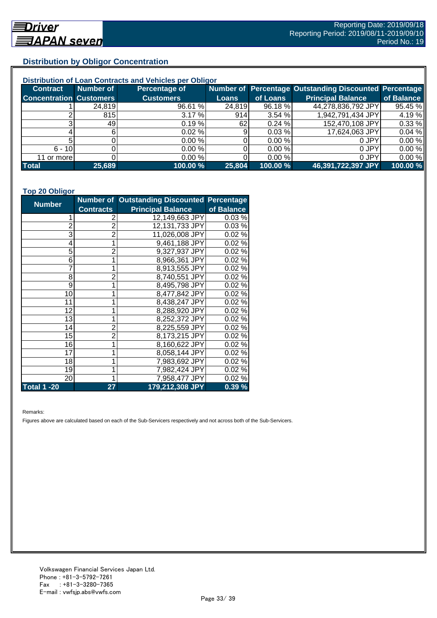## **Distribution by Obligor Concentration**

| Distribution of Loan Contracts and Vehicles per Obligor |           |                  |        |          |                                                        |            |  |
|---------------------------------------------------------|-----------|------------------|--------|----------|--------------------------------------------------------|------------|--|
| <b>Contract</b>                                         | Number of | Percentage of    |        |          | Number of Percentage Outstanding Discounted Percentage |            |  |
| <b>Concentration Customers</b>                          |           | <b>Customers</b> | Loans  | of Loans | <b>Principal Balance</b>                               | of Balance |  |
|                                                         | 24,819    | 96.61 %          | 24,819 | 96.18 %  | 44,278,836,792 JPY                                     | 95.45 %    |  |
|                                                         | 815       | 3.17%            | 914    | 3.54%    | 1,942,791,434 JPY                                      | 4.19%      |  |
| ົ                                                       | 49        | 0.19%            | 62I    | 0.24%    | 152,470,108 JPY                                        | 0.33 %     |  |
|                                                         |           | $0.02 \%$        | 9      | 0.03%    | 17,624,063 JPY                                         | 0.04%      |  |
|                                                         |           | 0.00%            |        | 0.00 %   | 0 JPY                                                  | 0.00%      |  |
| $6 - 10$                                                |           | 0.00%            |        | 0.00 %   | 0 JPY                                                  | 0.00%      |  |
| 11 or more                                              |           | 0.00%            |        | 0.00 %   | 0 JPY                                                  | 0.00%      |  |
| <b>Total</b>                                            | 25,689    | 100.00 %         | 25,804 | 100.00 % | 46,391,722,397 JPY                                     | 100.00 %   |  |

#### **Top 20 Obligor**

| <b>Number</b>      |                  | <b>Number of Outstanding Discounted Percentage</b> |            |
|--------------------|------------------|----------------------------------------------------|------------|
|                    | <b>Contracts</b> | <b>Principal Balance</b>                           | of Balance |
| 1                  | 2                | 12,149,663 JPY                                     | 0.03%      |
| $\overline{c}$     | $\overline{2}$   | 12,131,733 JPY                                     | 0.03%      |
| 3                  | $\overline{2}$   | 11,026,008 JPY                                     | 0.02%      |
| 4                  | 1                | 9,461,188 JPY                                      | 0.02%      |
| 5                  | $\overline{2}$   | 9,327,937 JPY                                      | 0.02%      |
| 6                  | 1                | 8,966,361 JPY                                      | 0.02%      |
| $\overline{7}$     | 1                | 8,913,555 JPY                                      | 0.02%      |
| 8                  | $\overline{2}$   | 8,740,551 JPY                                      | 0.02%      |
| 9                  | 1                | 8,495,798 JPY                                      | 0.02%      |
| 10                 | 1                | 8,477,842 JPY                                      | 0.02%      |
| 11                 | 1                | 8,438,247 JPY                                      | 0.02%      |
| 12                 | 1                | 8,288,920 JPY                                      | 0.02%      |
| 13                 | 1                | 8,252,372 JPY                                      | 0.02%      |
| 14                 | $\overline{2}$   | 8,225,559 JPY                                      | 0.02%      |
| 15                 | $\overline{2}$   | 8,173,215 JPY                                      | 0.02%      |
| 16                 | 1                | 8,160,622 JPY                                      | 0.02%      |
| 17                 | 1                | 8,058,144 JPY                                      | 0.02%      |
| 18                 | 1                | 7,983,692 JPY                                      | 0.02%      |
| 19                 |                  | 7,982,424 JPY                                      | 0.02%      |
| 20                 | 1                | 7,958,477 JPY                                      | 0.02%      |
| <b>Total 1 -20</b> | 27               | 179,212,308 JPY                                    | 0.39%      |

Remarks:

Figures above are calculated based on each of the Sub-Servicers respectively and not across both of the Sub-Servicers.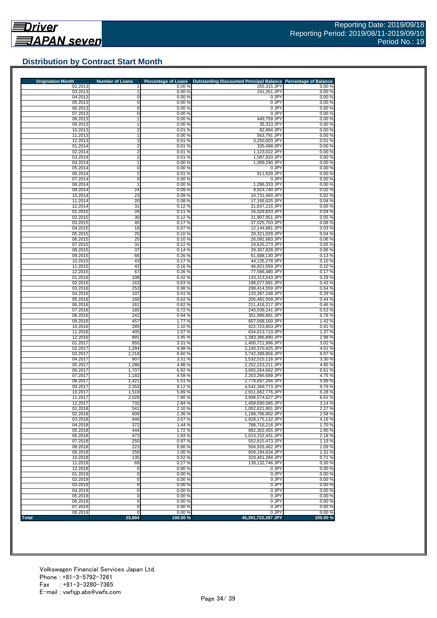## **Distribution by Contract Start Month**

| <b>Origination Month</b> | <b>Number of Loans</b> | <b>Percentage of Loans</b> | Outstanding Discounted Principal Balance Percentage of Balance |                 |
|--------------------------|------------------------|----------------------------|----------------------------------------------------------------|-----------------|
| 02.2013<br>03.2013       | 1                      | 0.00%<br>0.00%             | 265,315 JPY<br>241,261 JPY                                     | 0.00%<br>0.00%  |
| 04.2013                  | 0                      | 0.00%                      | 0 JPY                                                          | 0.00%           |
| 05.2013                  | 0                      | 0.00%                      | 0 JPY                                                          | 0.00%           |
| 06.2013                  | 0                      | 0.00%                      | 0 JPY                                                          | 0.00%           |
| 07.2013                  | 0                      | 0.00%                      | 0 JPY                                                          | 0.00%           |
| 08.2013<br>09.2013       | 1<br>1                 | 0.00 %<br>0.00%            | 449,759 JPY<br>35.313 JPY                                      | 0.00%<br>0.00%  |
| 10.2013                  | $\overline{2}$         | 0.01%                      | 82,894 JPY                                                     | 0.00%           |
| 11.2013                  | 1                      | 0.00%                      | 563,791 JPY                                                    | 0.00%           |
| 12.2013                  | 3                      | 0.01%                      | 3,250,003 JPY                                                  | 0.01%           |
| 01.2014                  | $\overline{2}$         | 0.01%                      | 335,498 JPY                                                    | 0.00%           |
| 02.2014                  | $\overline{2}$         | 0.01%                      | 1,123,022 JPY                                                  | 0.00%           |
| 03.2014<br>04.2014       | $\overline{2}$         | 0.01%<br>0.00 %            | 1,587,933 JPY<br>1,389,290 JPY                                 | 0.00%<br>0.00%  |
| 05.2014                  | 0                      | 0.00%                      | 0 JPY                                                          | 0.00%           |
| 06.2014                  | 2                      | 0.01%                      | 911,629 JPY                                                    | 0.00%           |
| 07.2014                  | 0                      | 0.00%                      | 0 JPY                                                          | 0.00%           |
| 08.2014                  |                        | 0.00%                      | 1,286,333 JPY                                                  | 0.00%           |
| 09.2014                  | 24                     | 0.09%                      | 9,924,740 JPY                                                  | 0.02%           |
| 10.2014<br>11.2014       | 23                     | 0.09%<br>0.08%             | 10,731,460 JPY<br>17,166,625 JPY                               | 0.02%<br>0.04%  |
| 12.2014                  | 20<br>31               | 0.12%                      | 21,837,215 JPY                                                 | 0.05%           |
| 01.2015                  | 28                     | 0.11%                      | 16,329,833 JPY                                                 | 0.04%           |
| 02.2015                  | 30                     | 0.12%                      | 21,907,951 JPY                                                 | 0.05%           |
| 03.2015                  | 45                     | 0.17%                      | 37,025,703 JPY                                                 | 0.08%           |
| 04.2015                  | 18                     | 0.07%                      | 12,144,981 JPY                                                 | 0.03%           |
| 05.2015                  | 25                     | 0.10%                      | 20,321,029 JPY                                                 | 0.04%           |
| 06.2015<br>07.2015       | 25<br>31               | 0.10%<br>0.12%             | 26,091,683 JPY<br>24,625,273 JPY                               | 0.06%<br>0.05%  |
| 08.2015                  | 37                     | 0.14%                      | 29,307,828 JPY                                                 | 0.06%           |
| 09.2015                  | 66                     | 0.26%                      | 61,688,130 JPY                                                 | 0.13%           |
| 10.2015                  | 43                     | 0.17%                      | 44,135,278 JPY                                                 | 0.10%           |
| 11.2015                  | 42                     | 0.16%                      | 46,921,059 JPY                                                 | 0.10%           |
| 12.2015                  | 67                     | 0.26%                      | 77,586,480 JPY                                                 | 0.17%           |
| 01.2016                  | 108                    | 0.42%                      | 133,313,543 JPY                                                | 0.29%           |
| 02.2016<br>03.2016       | 163<br>253             | 0.63%<br>0.98%             | 198,077,681 JPY<br>298,414,559 JPY                             | 0.43%<br>0.64 % |
| 04.2016                  | 107                    | 0.41%                      | 133,397,248 JPY                                                | 0.29%           |
| 05.2016                  | 160                    | 0.62%                      | 205,481,509 JPY                                                | 0.44 %          |
| 06.2016                  | 161                    | 0.62%                      | 211,416,217 JPY                                                | 0.46%           |
| 07.2016                  | 185                    | 0.72%                      | 245,039,241 JPY                                                | 0.53%           |
| 08.2016                  | 242                    | 0.94%                      | 351,989,881 JPY                                                | 0.76%           |
| 09.2016<br>10.2016       | 457                    | 1.77 %<br>1.10%            | 657,568,160 JPY<br>422,723,803 JPY                             | 1.42 %<br>0.91% |
| 11.2016                  | 285<br>405             | 1.57 %                     | 634,613,710 JPY                                                | 1.37 %          |
| 12.2016                  | 891                    | 3.45 %                     | 1,383,386,890 JPY                                              | 2.98%           |
| 01.2017                  | 855                    | 3.31 %                     | 1,400,721,996 JPY                                              | 3.02 %          |
| 02.2017                  | 1,284                  | 4.98 %                     | 2,140,370,425 JPY                                              | 4.61%           |
| 03.2017                  | 2,218                  | 8.60 %                     | 3,742,389,856 JPY                                              | 8.07%           |
| 04.2017                  | 907                    | 3.51 %                     | 1,532,515,116 JPY                                              | 3.30 %          |
| 05.2017<br>06.2017       | 1,286<br>1,707         | 4.98%<br>6.62%             | 2,252,223,211 JPY<br>3,065,264,662 JPY                         | 4.85 %<br>6.61% |
| 07.2017                  | 1,182                  | 4.58 %                     | 2,203,266,689 JPY                                              | 4.75 %          |
| 08.2017                  | 1,421                  | 5.51 %                     | 2,779,697,294 JPY                                              | 5.99%           |
| 09.2017                  | 2,353                  | 9.12%                      | 4,542,369,773 JPY                                              | 9.79%           |
| 10.2017                  | 1,519                  | 5.89%                      | 2,911,662,776 JPY                                              | 6.28%           |
| 11.2017                  | 2,028                  | 7.86%                      | 3,998,574,627 JPY                                              | 8.62%           |
| 12.2017                  | 732                    | 2.84 %                     | 1,458,690,585 JPY                                              | 3.14 %          |
| 01.2018<br>02.2018       | 541<br>609             | $2.10 \%$<br>2.36 %        | 1,052,621,901 JPY<br>1,198,786,902 JPY                         | 2.27 %<br>2.58% |
| 03.2018                  | 946                    | 3.67%                      | 1,928,175,132 JPY                                              | 4.16%           |
| 04.2018                  | 372                    | 1.44 %                     | 788,716,216 JPY                                                | 1.70%           |
| 05.2018                  | 444                    | 1.72%                      | 882,302,455 JPY                                                | 1.90%           |
| 06.2018                  | 473                    | 1.83%                      | 1,013,152,431 JPY                                              | 2.18%           |
| 07.2018                  | 250                    | 0.97%                      | 552,815,473 JPY                                                | 1.19%           |
| 08.2018<br>09.2018       | 223<br>258             | 0.86%<br>1.00%             | 504,926,462 JPY<br>609,194,634 JPY                             | 1.09%<br>1.31 % |
| 10.2018                  | 135                    | 0.52%                      | 329,461,284 JPY                                                | 0.71%           |
| 11.2018                  | 69                     | 0.27%                      | 139,132,746 JPY                                                | 0.30%           |
| 12.2018                  | 0                      | 0.00%                      | 0 JPY                                                          | 0.00%           |
| 01.2019                  | 0                      | 0.00%                      | 0 JPY                                                          | 0.00%           |
| 02.2019                  | $\mathbf 0$            | 0.00%                      | 0 JPY                                                          | 0.00%           |
| 03.2019                  | 0                      | 0.00%                      | 0 JPY<br>0 JPY                                                 | 0.00%           |
| 04.2019<br>05.2019       | $\overline{0}$<br>0    | 0.00%<br>0.00%             | 0 JPY                                                          | 0.00%<br>0.00%  |
| 06.2019                  | $\overline{0}$         | 0.00%                      | 0 JPY                                                          | 0.00%           |
| 07.2019                  | $\mathbf 0$            | 0.00%                      | 0 JPY                                                          | 0.00%           |
| 08.2019                  | $\mathbf 0$            | 0.00%                      | 0 JPY                                                          | 0.00%           |
| <b>Total</b>             | 25,804                 | 100.00%                    | 46,391,722,397 JPY                                             | 100.00%         |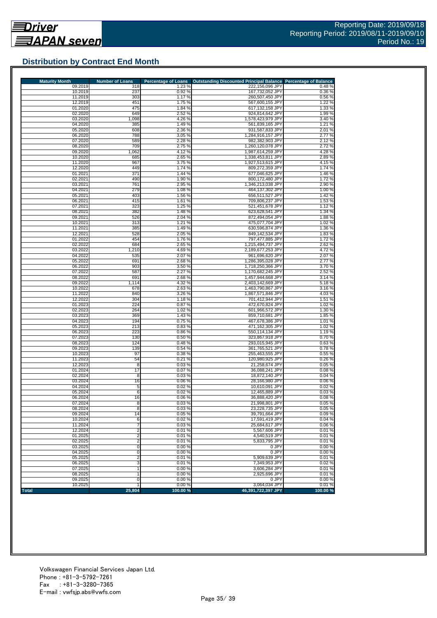## **Distribution by Contract End Month**

| <b>Maturity Month</b> | <b>Number of Loans</b>  | <b>Percentage of Loans</b> | <b>Outstanding Discounted Principal Balance</b> | <b>Percentage of Balance</b> |
|-----------------------|-------------------------|----------------------------|-------------------------------------------------|------------------------------|
| 09.2019               | 318                     | 1.23 %                     | 222,156,096 JPY                                 | 0.48%                        |
| 10.2019               | 237                     | 0.92%                      | 167,732,052 JPY                                 | 0.36%                        |
| 11.2019<br>12.2019    | 303<br>451              | 1.17%<br>1.75 %            | 260,507,450 JPY<br>567,600,155 JPY              | 0.56%<br>1.22 %              |
| 01.2020               | 475                     | 1.84 %                     | 617,132,158 JPY                                 | 1.33 %                       |
| 02.2020               | 649                     | 2.52 %                     | 924,814,642 JPY                                 | 1.99%                        |
| 03.2020               | 1,098                   | 4.26 %                     | 1.578.423.979 JPY                               | 3.40 %                       |
| 04.2020               | 385                     | 1.49 %                     | 561,839,165 JPY                                 | 1.21%                        |
| 05.2020               | 608                     | 2.36 %                     | 931,587,833 JPY                                 | 2.01 %                       |
| 06.2020               | 788                     | 3.05 %                     | 1,284,916,157 JPY                               | 2.77 %                       |
| 07.2020               | 589                     | 2.28 %                     | 982,382,903 JPY                                 | 2.12%                        |
| 08.2020<br>09.2020    | 709<br>1,062            | 2.75 %<br>4.12%            | 1,260,120,078 JPY<br>1,987,614,259 JPY          | 2.72%<br>4.28%               |
| 10.2020               | 685                     | 2.65 %                     | 1,338,453,811 JPY                               | 2.89%                        |
| 11.2020               | 967                     | 3.75 %                     | 1,927,513,615 JPY                               | 4.15%                        |
| 12.2020               | 449                     | 1.74 %                     | 809,272,359 JPY                                 | 1.74 %                       |
| 01.2021               | 371                     | 1.44 %                     | 677,046,625 JPY                                 | 1.46 %                       |
| 02.2021               | 490                     | 1.90 %                     | 800,172,480 JPY                                 | 1.72 %                       |
| 03.2021               | 761                     | 2.95 %                     | 1,346,213,038 JPY                               | 2.90 %                       |
| 04.2021               | 279                     | 1.08%                      | 464,137,302 JPY                                 | 1.00 %                       |
| 05.2021               | 403                     | 1.56 %                     | 656,511,527 JPY                                 | 1.42%                        |
| 06.2021<br>07.2021    | 415<br>323              | 1.61 %<br>1.25 %           | 709,806,237 JPY<br>521,451,678 JPY              | 1.53 %<br>1.12%              |
| 08.2021               | 382                     | 1.48 %                     | 623,628,541 JPY                                 | 1.34 %                       |
| 09.2021               | 526                     | 2.04 %                     | 872,494,054 JPY                                 | 1.88%                        |
| 10.2021               | 313                     | 1.21 %                     | 475,077,704 JPY                                 | 1.02 %                       |
| 11.2021               | 385                     | 1.49%                      | 630.596.874 JPY                                 | 1.36 %                       |
| 12.2021               | 528                     | 2.05 %                     | 849,142,534 JPY                                 | 1.83%                        |
| 01.2022               | 454                     | 1.76 %                     | 797,477,885 JPY                                 | 1.72%                        |
| 02.2022<br>03.2022    | 684<br>1,210            | 2.65 %<br>4.69%            | 1,215,494,737 JPY<br>2,189,677,253 JPY          | 2.62 %<br>4.72%              |
| 04.2022               | 535                     | 2.07 %                     | 961,696,620 JPY                                 | 2.07%                        |
| 05.2022               | 691                     | 2.68%                      | 1,286,395,028 JPY                               | 2.77 %                       |
| 06.2022               | 903                     | 3.50 %                     | 1,718,250,366 JPY                               | 3.70%                        |
| 07.2022               | 587                     | 2.27 %                     | 1,170,682,245 JPY                               | 2.52%                        |
| 08.2022               | 691                     | 2.68 %                     | 1,457,944,668 JPY                               | 3.14 %                       |
| 09.2022               | 1,114                   | 4.32 %                     | 2,403,142,669 JPY                               | 5.18%                        |
| 10.2022               | 678                     | 2.63%                      | 1,463,790,867 JPY                               | 3.16%                        |
| 11.2022               | 840                     | 3.26 %                     | 1,867,571,846 JPY                               | 4.03%                        |
| 12.2022<br>01.2023    | 304<br>224              | 1.18%<br>0.87%             | 701,412,944 JPY<br>472,670,824 JPY              | 1.51 %<br>1.02%              |
| 02.2023               | 264                     | 1.02%                      | 601,966,572 JPY                                 | 1.30 %                       |
| 03.2023               | 369                     | 1.43 %                     | 859,710,681 JPY                                 | 1.85 %                       |
| 04.2023               | 194                     | 0.75%                      | 467,678,386 JPY                                 | 1.01%                        |
| 05.2023               | 213                     | 0.83%                      | 471,162,305 JPY                                 | 1.02 %                       |
| 06.2023               | 223                     | 0.86%                      | 550,114,134 JPY                                 | 1.19%                        |
| 07.2023               | 130                     | 0.50 %                     | 323,867,918 JPY                                 | 0.70%                        |
| 08.2023               | 124<br>139              | 0.48%                      | 293,015,945 JPY                                 | 0.63%                        |
| 09.2023<br>10.2023    | 97                      | 0.54%<br>0.38%             | 361,765,521 JPY<br>255,463,555 JPY              | 0.78%<br>0.55%               |
| 11.2023               | 54                      | 0.21%                      | 120,980,925 JPY                                 | 0.26 %                       |
| 12.2023               | 8                       | 0.03%                      | 21,258,674 JPY                                  | 0.05%                        |
| 01.2024               | 17                      | 0.07%                      | 36,088,241 JPY                                  | 0.08%                        |
| 02.2024               | 8                       | 0.03%                      | 18,872,140 JPY                                  | 0.04%                        |
| 03.2024               | 16                      | 0.06%                      | 28,166,980 JPY                                  | 0.06%                        |
| 04.2024               | 5                       | 0.02%                      | 10,610,091 JPY                                  | 0.02%                        |
| 05.2024<br>06.2024    | 6<br>16                 | 0.02%<br>0.06%             | 12,465,889 JPY<br>36,888,420 JPY                | 0.03%<br>0.08%               |
| 07.2024               | 8                       | 0.03%                      | 21.998.801 JPY                                  | 0.05 %                       |
| 08.2024               | 8                       | 0.03%                      | 23,228,735 JPY                                  | 0.05%                        |
| 09.2024               | 14                      | 0.05%                      | 39,791,664 JPY                                  | 0.09%                        |
| 10.2024               | 6                       | 0.02%                      | 17,591,419 JPY                                  | 0.04%                        |
| 11.2024               | 7                       | 0.03%                      | 25,684,617 JPY                                  | 0.06%                        |
| 12.2024               | $\overline{\mathbf{c}}$ | 0.01%                      | 5,567,606 JPY                                   | 0.01%                        |
| 01.2025               | $\overline{2}$          | 0.01%                      | 4,540,519 JPY                                   | 0.01%                        |
| 02.2025               | $\overline{\mathbf{c}}$ | 0.01%                      | 5,833,795 JPY                                   | 0.01%                        |
| 03.2025<br>04.2025    | $\mathbf 0$<br>0        | 0.00%<br>0.00%             | 0 JPY<br>0 JPY                                  | 0.00%<br>0.00%               |
| 05.2025               | 2                       | 0.01%                      | 5,909,639 JPY                                   | 0.01%                        |
| 06.2025               | 3                       | 0.01%                      | 7,349,953 JPY                                   | 0.02%                        |
| 07.2025               |                         | 0.00%                      | 3,606,284 JPY                                   | 0.01%                        |
| 08.2025               |                         | 0.00%                      | 2,925,696 JPY                                   | 0.01%                        |
| 09.2025               | 0                       | 0.00%                      | 0 JPY                                           | 0.00%                        |
| 10.2025               |                         | 0.00%                      | 3,064,034 JPY                                   | 0.01%                        |
| Total                 | 25,804                  | 100.00%                    | 46,391,722,397 JPY                              | 100.00 %                     |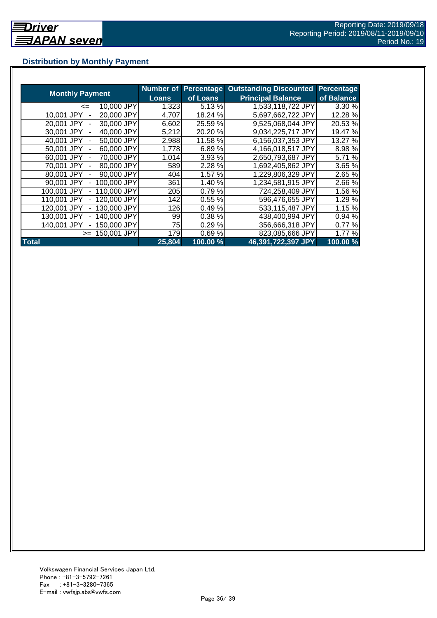## **Distribution by Monthly Payment**

|                            | <b>Number of</b> | Percentage | <b>Outstanding Discounted</b> | Percentage |
|----------------------------|------------------|------------|-------------------------------|------------|
| <b>Monthly Payment</b>     | <b>Loans</b>     | of Loans   | <b>Principal Balance</b>      | of Balance |
| 10,000 JPY<br><=           | 1,323            | 5.13%      | 1,533,118,722 JPY             | 3.30 %     |
| 20,000 JPY<br>10.001 JPY   | 4,707            | 18.24 %    | 5,697,662,722 JPY             | 12.28 %    |
| 30,000 JPY<br>20.001 JPY   | 6,602            | 25.59 %    | 9,525,068,044 JPY             | 20.53 %    |
| 30,001 JPY<br>40,000 JPY   | 5,212            | 20.20 %    | 9,034,225,717 JPY             | 19.47 %    |
| 40.001 JPY<br>50,000 JPY   | 2,988            | 11.58 %    | 6,156,037,353 JPY             | 13.27 %    |
| 50,001 JPY<br>60,000 JPY   | 1,778            | 6.89%      | 4,166,018,517 JPY             | 8.98 %     |
| 70,000 JPY<br>60,001 JPY   | 1,014            | 3.93 %     | 2,650,793,687 JPY             | 5.71 %     |
| 70,001 JPY<br>80,000 JPY   | 589              | 2.28 %     | 1,692,405,862 JPY             | 3.65 %     |
| 80,001 JPY<br>90,000 JPY   | 4041             | 1.57 %     | 1,229,806,329 JPY             | 2.65 %     |
| 100,000 JPY<br>90,001 JPY  | 361              | 1.40 %     | 1,234,581,915 JPY             | 2.66%      |
| 100,001 JPY<br>110,000 JPY | 205              | 0.79%      | 724,258,409 JPY               | 1.56 %     |
| 120,000 JPY<br>110,001 JPY | 142              | 0.55%      | 596,476,655 JPY               | 1.29%      |
| 130,000 JPY<br>120,001 JPY | 126              | 0.49%      | 533,115,487 JPY               | 1.15%      |
| 130,001 JPY<br>140,000 JPY | 99               | 0.38 %     | 438,400,994 JPY               | 0.94 %     |
| 140,001 JPY<br>150,000 JPY | 75               | 0.29%      | 356,666,318 JPY               | 0.77%      |
| 150,001 JPY<br>$>=$        | 179              | 0.69%      | 823,085,666 JPY               | 1.77%      |
| <b>Total</b>               | 25,804           | 100.00 %   | 46,391,722,397 JPY            | 100.00%    |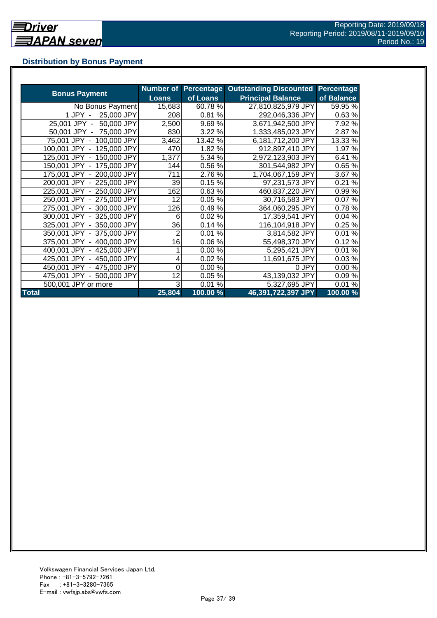## **Distribution by Bonus Payment**

| <b>Bonus Payment</b>       |              |          | Number of Percentage Outstanding Discounted | Percentage |
|----------------------------|--------------|----------|---------------------------------------------|------------|
|                            | <b>Loans</b> | of Loans | <b>Principal Balance</b>                    | of Balance |
| No Bonus Payment           | 15,683       | 60.78%   | 27,810,825,979 JPY                          | 59.95 %    |
| 25,000 JPY<br>1 JPY -      | 208          | 0.81%    | 292,046,336 JPY                             | 0.63%      |
| 25,001 JPY -<br>50,000 JPY | 2,500        | 9.69%    | 3,671,942,500 JPY                           | 7.92 %     |
| 50,001 JPY - 75,000 JPY    | 830          | 3.22 %   | 1,333,485,023 JPY                           | 2.87 %     |
| 75,001 JPY - 100,000 JPY   | 3,462        | 13.42 %  | 6,181,712,200 JPY                           | 13.33 %    |
| 100,001 JPY - 125,000 JPY  | 470          | 1.82 %   | 912,897,410 JPY                             | 1.97 %     |
| 125,001 JPY - 150,000 JPY  | 1,377        | 5.34 %   | 2,972,123,903 JPY                           | 6.41%      |
| 150,001 JPY - 175,000 JPY  | 144          | 0.56%    | 301,544,982 JPY                             | 0.65%      |
| 175,001 JPY - 200,000 JPY  | 711          | 2.76%    | 1,704,067,159 JPY                           | 3.67 %     |
| 200,001 JPY - 225,000 JPY  | 39           | 0.15%    | 97,231,573 JPY                              | 0.21%      |
| 225,001 JPY - 250,000 JPY  | 162          | 0.63%    | 460,837,220 JPY                             | 0.99%      |
| 250,001 JPY - 275,000 JPY  | 12           | 0.05%    | 30,716,583 JPY                              | 0.07%      |
| 275,001 JPY - 300,000 JPY  | 126          | 0.49%    | 364,060,295 JPY                             | 0.78%      |
| 300,001 JPY - 325,000 JPY  | 6            | 0.02%    | 17,359,541 JPY                              | 0.04%      |
| 325,001 JPY - 350,000 JPY  | 36           | 0.14%    | 116,104,918 JPY                             | 0.25%      |
| 350,001 JPY - 375,000 JPY  | 2            | 0.01%    | 3,814,582 JPY                               | 0.01%      |
| 375,001 JPY - 400,000 JPY  | 16           | 0.06%    | 55,498,370 JPY                              | 0.12%      |
| 400,001 JPY - 425,000 JPY  |              | 0.00%    | 5,295,421 JPY                               | 0.01%      |
| 425,001 JPY - 450,000 JPY  |              | 0.02%    | 11,691,675 JPY                              | 0.03%      |
| 450,001 JPY - 475,000 JPY  | 0            | 0.00%    | 0 JPY                                       | 0.00%      |
| 475,001 JPY - 500,000 JPY  | 12           | 0.05%    | 43,139,032 JPY                              | 0.09%      |
| 500,001 JPY or more        | 3            | 0.01%    | 5,327,695 JPY                               | 0.01%      |
| <b>Total</b>               | 25,804       | 100.00 % | 46,391,722,397 JPY                          | 100.00 %   |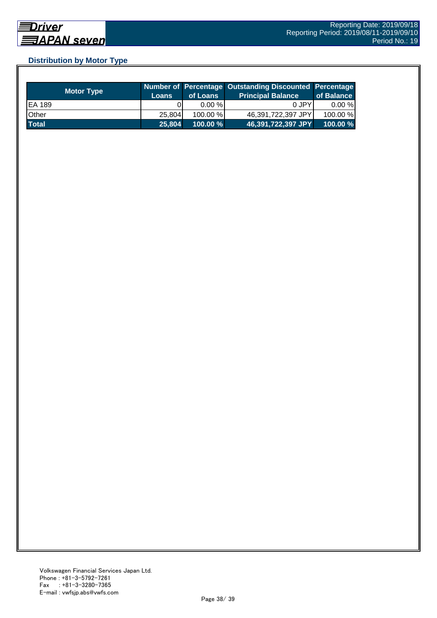## **Distribution by Motor Type**

| <b>Motor Type</b> | <b>Loans</b> | of Loans    | Number of Percentage Outstanding Discounted Percentage<br>Principal Balance <sup>'</sup> | of Balance |
|-------------------|--------------|-------------|------------------------------------------------------------------------------------------|------------|
| EA 189            |              | $0.00 \%$   | 0 JPY                                                                                    | $0.00 \%$  |
| Other             | 25.804       | $100.00\%$  | 46,391,722,397 JPY                                                                       | 100.00 %   |
| <b>Total</b>      | 25,804       | $100.00 \%$ | 46,391,722,397 JPY                                                                       | 100.00%    |